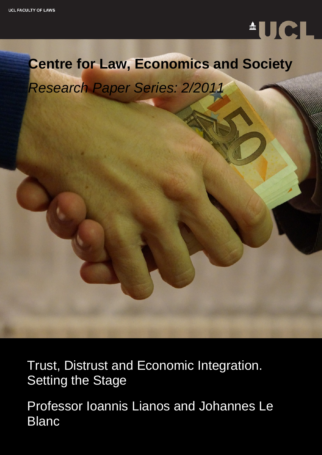

# **Centre for Law, Economics and Society** *Research Paper Series: 2/2011*

Trust, Distrust and Economic Integration. Setting the Stage

Professor Ioannis Lianos and Johannes Le Blanc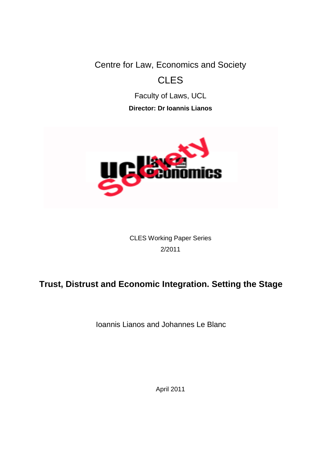Centre for Law, Economics and Society

# **CLES**

Faculty of Laws, UCL **Director: Dr Ioannis Lianos** 



CLES Working Paper Series 2/2011

## **Trust, Distrust and Economic Integration. Setting the Stage**

Ioannis Lianos and Johannes Le Blanc

April 2011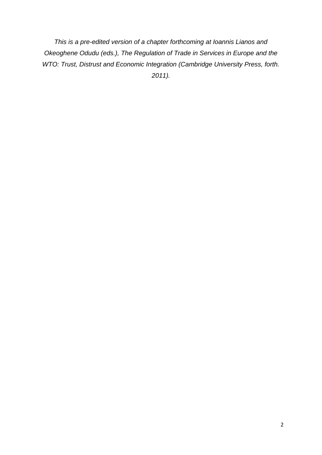*This is a pre-edited version of a chapter forthcoming at Ioannis Lianos and Okeoghene Odudu (eds.), The Regulation of Trade in Services in Europe and the WTO: Trust, Distrust and Economic Integration (Cambridge University Press, forth. 2011).*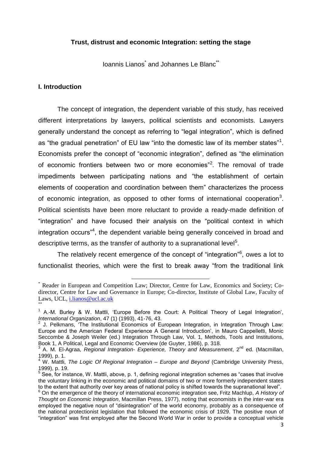#### **Trust, distrust and economic Integration: setting the stage**

Ioannis Lianos<sup>\*</sup> and Johannes Le Blanc<sup>\*\*</sup>

#### **I. Introduction**

The concept of integration, the dependent variable of this study, has received different interpretations by lawyers, political scientists and economists. Lawyers generally understand the concept as referring to "legal integration", which is defined as "the gradual penetration" of EU law "into the domestic law of its member states"<sup>1</sup>. Economists prefer the concept of "economic integration", defined as "the elimination of economic frontiers between two or more economies"<sup>2</sup>. The removal of trade impediments between participating nations and "the establishment of certain elements of cooperation and coordination between them" characterizes the process of economic integration, as opposed to other forms of international cooperation<sup>3</sup>. Political scientists have been more reluctant to provide a ready-made definition of "integration" and have focused their analysis on the "political context in which integration occurs<sup>"4</sup>, the dependent variable being generally conceived in broad and descriptive terms, as the transfer of authority to a supranational level<sup>5</sup>.

The relatively recent emergence of the concept of "integration"<sup>6</sup>, owes a lot to functionalist theories, which were the first to break away "from the traditional link

<sup>\*</sup> Reader in European and Competition Law; Director, Centre for Law, Economics and Society; Codirector, Centre for Law and Governance in Europe; Co-director, Institute of Global Law, Faculty of Laws, UCL, *i.lianos@ucl.ac.uk* \*\*

<sup>&</sup>lt;sup>1</sup> A.-M. Burley & W. Mattli, 'Europe Before the Court: A Political Theory of Legal Integration', *International Organization*, 47 (1) (1993), 41-76, 43. 2

J. Pelkmans, 'The Institutional Economics of European Integration, in Integration Through Law: Europe and the American Federal Experience A General Introduction', in Mauro Cappelletti, Monic Seccombe & Joseph Weiler (ed.) Integration Through Law, Vol. 1, Methods, Tools and Institutions, Book 1, A Political, Legal and Economic Overview (de Guyter, 1986), p. 318.

<sup>&</sup>lt;sup>3</sup> A. M. El-Agraa, *Regional Integration- Experience, Theory and Measurement*, 2<sup>nd</sup> ed. (Macmillan, 1999), p. 1.

<sup>4</sup> W. Mattli, *The Logic Of Regional Integration – Europe and Beyond* (Cambridge University Press, 1999), p. 19.

 $5$  See, for instance, W. Mattli, above, p. 1, defining regional integration schemes as "cases that involve the voluntary linking in the economic and political domains of two or more formerly independent states to the extent that authority over key areas of national policy is shifted towards the supranational level".

<sup>6</sup> On the emergence of the theory of international economic integration see, Fritz Machlup, *A History of Thought on Economic Integration*, Macmillan Press, 1977), noting that economists in the inter-war era employed the negative noun of "disintegration" of the world economy, probably as a consequence of the national protectionist legislation that followed the economic crisis of 1929. The positive noun of "integration" was first employed after the Second World War in order to provide a conceptual vehicle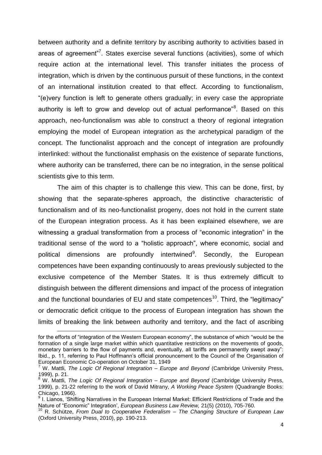between authority and a definite territory by ascribing authority to activities based in areas of agreement"<sup>7</sup>. States exercise several functions (activities), some of which require action at the international level. This transfer initiates the process of integration, which is driven by the continuous pursuit of these functions, in the context of an international institution created to that effect. According to functionalism, "(e)very function is left to generate others gradually; in every case the appropriate authority is left to grow and develop out of actual performance"<sup>8</sup>. Based on this approach, neo-functionalism was able to construct a theory of regional integration employing the model of European integration as the archetypical paradigm of the concept. The functionalist approach and the concept of integration are profoundly interlinked: without the functionalist emphasis on the existence of separate functions, where authority can be transferred, there can be no integration, in the sense political scientists give to this term.

The aim of this chapter is to challenge this view. This can be done, first, by showing that the separate-spheres approach, the distinctive characteristic of functionalism and of its neo-functionalist progeny, does not hold in the current state of the European integration process. As it has been explained elsewhere, we are witnessing a gradual transformation from a process of "economic integration" in the traditional sense of the word to a "holistic approach", where economic, social and political dimensions are profoundly intertwined<sup>9</sup>. Secondly, the European competences have been expanding continuously to areas previously subjected to the exclusive competence of the Member States. It is thus extremely difficult to distinguish between the different dimensions and impact of the process of integration and the functional boundaries of EU and state competences<sup>10</sup>. Third, the "legitimacy" or democratic deficit critique to the process of European integration has shown the limits of breaking the link between authority and territory, and the fact of ascribing

l

for the efforts of "integration of the Western European economy", the substance of which "would be the formation of a single large market within which quantitative restrictions on the movements of goods, monetary barriers to the flow of payments and, eventually, all tariffs are permanently swept away": Ibid., p. 11, referring to Paul Hoffmann's official pronouncement to the Council of the Organisation of European Economic Co-operation on October 31, 1949

<sup>7</sup> W. Mattli, *The Logic Of Regional Integration – Europe and Beyond* (Cambridge University Press, 1999), p. 21.

<sup>8</sup> W. Mattli, *The Logic Of Regional Integration – Europe and Beyond* (Cambridge University Press, 1999), p. 21-22 referring to the work of David Mitrany, *A Working Peace System* (Quadrangle Books: Chicago, 1966).

<sup>&</sup>lt;sup>9</sup> I. Lianos, 'Shifting Narratives in the European Internal Market: Efficient Restrictions of Trade and the Nature of "Economic" Integration', *European Business Law Review,* 21(5) (2010), 705-760.

<sup>10</sup> R. Schütze, *From Dual to Cooperative Federalism – The Changing Structure of European Law* (Oxford University Press, 2010), pp. 190-213.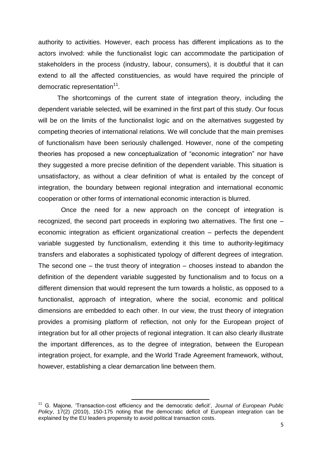authority to activities. However, each process has different implications as to the actors involved: while the functionalist logic can accommodate the participation of stakeholders in the process (industry, labour, consumers), it is doubtful that it can extend to all the affected constituencies, as would have required the principle of democratic representation<sup>11</sup>.

The shortcomings of the current state of integration theory, including the dependent variable selected, will be examined in the first part of this study. Our focus will be on the limits of the functionalist logic and on the alternatives suggested by competing theories of international relations. We will conclude that the main premises of functionalism have been seriously challenged. However, none of the competing theories has proposed a new conceptualization of "economic integration" nor have they suggested a more precise definition of the dependent variable. This situation is unsatisfactory, as without a clear definition of what is entailed by the concept of integration, the boundary between regional integration and international economic cooperation or other forms of international economic interaction is blurred.

 Once the need for a new approach on the concept of integration is recognized, the second part proceeds in exploring two alternatives. The first one – economic integration as efficient organizational creation – perfects the dependent variable suggested by functionalism, extending it this time to authority-legitimacy transfers and elaborates a sophisticated typology of different degrees of integration. The second one  $-$  the trust theory of integration  $-$  chooses instead to abandon the definition of the dependent variable suggested by functionalism and to focus on a different dimension that would represent the turn towards a holistic, as opposed to a functionalist, approach of integration, where the social, economic and political dimensions are embedded to each other. In our view, the trust theory of integration provides a promising platform of reflection, not only for the European project of integration but for all other projects of regional integration. It can also clearly illustrate the important differences, as to the degree of integration, between the European integration project, for example, and the World Trade Agreement framework, without, however, establishing a clear demarcation line between them.

<sup>11</sup> G. Majone, 'Transaction-cost efficiency and the democratic deficit', *Journal of European Public Policy*, 17(2) (2010), 150-175 noting that the democratic deficit of European integration can be explained by the EU leaders propensity to avoid political transaction costs.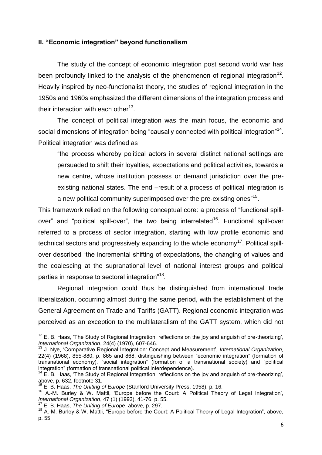#### **II. "Economic integration" beyond functionalism**

The study of the concept of economic integration post second world war has been profoundly linked to the analysis of the phenomenon of regional integration<sup>12</sup>. Heavily inspired by neo-functionalist theory, the studies of regional integration in the 1950s and 1960s emphasized the different dimensions of the integration process and their interaction with each other $^{13}$ .

The concept of political integration was the main focus, the economic and social dimensions of integration being "causally connected with political integration"<sup>14</sup>. Political integration was defined as

"the process whereby political actors in several distinct national settings are persuaded to shift their loyalties, expectations and political activities, towards a new centre, whose institution possess or demand jurisdiction over the preexisting national states. The end –result of a process of political integration is a new political community superimposed over the pre-existing ones"<sup>15</sup>.

This framework relied on the following conceptual core: a process of "functional spillover" and "political spill-over", the two being interrelated<sup>16</sup>. Functional spill-over referred to a process of sector integration, starting with low profile economic and technical sectors and progressively expanding to the whole economy<sup>17</sup>. Political spillover described "the incremental shifting of expectations, the changing of values and the coalescing at the supranational level of national interest groups and political parties in response to sectoral integration"<sup>18</sup>.

Regional integration could thus be distinguished from international trade liberalization, occurring almost during the same period, with the establishment of the General Agreement on Trade and Tariffs (GATT). Regional economic integration was perceived as an exception to the multilateralism of the GATT system, which did not

 $\overline{a}$ 

<sup>17</sup> E. B. Haas, *The Uniting of Europe*, above, p. 297.

 $12$  E. B. Haas, 'The Study of Regional Integration: reflections on the joy and anguish of pre-theorizing', *International Organization*, 24(4) (1970), 607-646.

<sup>13</sup> J. Nye, 'Comparative Regional Integration: Concept and Measurement', *International Organization,*  22(4) (1968), 855-880, p. 865 and 868, distinguishing between "economic integration" (formation of transnational economy), "social integration" (formation of a transnational society) and "political integration" (formation of transnational political interdependence).

 $14$  E. B. Haas, 'The Study of Regional Integration: reflections on the joy and anguish of pre-theorizing', above, p. 632, footnote 31.

<sup>15</sup> E. B. Haas, *The Uniting of Europe* (Stanford University Press, 1958), p. 16.

<sup>16</sup> A.-M. Burley & W. Mattli, 'Europe before the Court: A Political Theory of Legal Integration', *International Organization*, 47 (1) (1993), 41-76, p. 55.

<sup>&</sup>lt;sup>18</sup> A.-M. Burley & W. Mattli, "Europe before the Court: A Political Theory of Legal Integration", above, p. 55.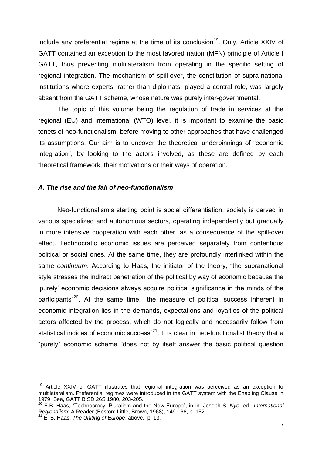include any preferential regime at the time of its conclusion<sup>19</sup>. Only, Article XXIV of GATT contained an exception to the most favored nation (MFN) principle of Article I GATT, thus preventing multilateralism from operating in the specific setting of regional integration. The mechanism of spill-over, the constitution of supra-national institutions where experts, rather than diplomats, played a central role, was largely absent from the GATT scheme, whose nature was purely inter-governmental.

The topic of this volume being the regulation of trade in services at the regional (EU) and international (WTO) level, it is important to examine the basic tenets of neo-functionalism, before moving to other approaches that have challenged its assumptions. Our aim is to uncover the theoretical underpinnings of "economic integration", by looking to the actors involved, as these are defined by each theoretical framework, their motivations or their ways of operation.

#### *A. The rise and the fall of neo-functionalism*

Neo-functionalism's starting point is social differentiation: society is carved in various specialized and autonomous sectors, operating independently but gradually in more intensive cooperation with each other, as a consequence of the spill-over effect. Technocratic economic issues are perceived separately from contentious political or social ones. At the same time, they are profoundly interlinked within the same *continuum*. According to Haas, the initiator of the theory, "the supranational style stresses the indirect penetration of the political by way of economic because the 'purely' economic decisions always acquire political significance in the minds of the participants<sup>"20</sup>. At the same time, "the measure of political success inherent in economic integration lies in the demands, expectations and loyalties of the political actors affected by the process, which do not logically and necessarily follow from statistical indices of economic success"<sup>21</sup>. It is clear in neo-functionalist theory that a "purely" economic scheme "does not by itself answer the basic political question

 $19$  Article XXIV of GATT illustrates that regional integration was perceived as an exception to multilateralism. Preferential regimes were introduced in the GATT system with the Enabling Clause in 1979. See, GATT BISD 26S 1980, 203-205.

<sup>20</sup> E.B. Haas, "Technocracy, Pluralism and the New Europe", in in. Joseph S. *Nye*, ed., *International Regionalism*: A Reader (Boston: Little, Brown, 1968), 149-166, p. 152.

<sup>21</sup> E. B. Haas, *The Uniting of Europe*, above., p. 13.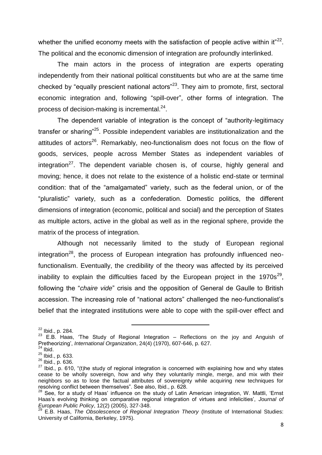whether the unified economy meets with the satisfaction of people active within it" $^{22}$ . The political and the economic dimension of integration are profoundly interlinked.

The main actors in the process of integration are experts operating independently from their national political constituents but who are at the same time checked by "equally prescient national actors" $^{23}$ . They aim to promote, first, sectoral economic integration and, following "spill-over", other forms of integration. The process of decision-making is incremental. $^{24}$ .

The dependent variable of integration is the concept of "authority-legitimacy transfer or sharing"<sup>25</sup>. Possible independent variables are institutionalization and the attitudes of actors<sup>26</sup>. Remarkably, neo-functionalism does not focus on the flow of goods, services, people across Member States as independent variables of integration<sup>27</sup>. The dependent variable chosen is, of course, highly general and moving; hence, it does not relate to the existence of a holistic end-state or terminal condition: that of the "amalgamated" variety, such as the federal union, or of the "pluralistic" variety, such as a confederation. Domestic politics, the different dimensions of integration (economic, political and social) and the perception of States as multiple actors, active in the global as well as in the regional sphere, provide the matrix of the process of integration.

Although not necessarily limited to the study of European regional integration<sup>28</sup>, the process of European integration has profoundly influenced neofunctionalism. Eventually, the credibility of the theory was affected by its perceived inability to explain the difficulties faced by the European project in the 1970s<sup>29</sup>, following the "*chaire vide*" crisis and the opposition of General de Gaulle to British accession. The increasing role of "national actors" challenged the neo-functionalist's belief that the integrated institutions were able to cope with the spill-over effect and

<sup>22</sup> Ibid., p. 284.

 $^{23}$  E.B. Haas, 'The Study of Regional Integration – Reflections on the joy and Anguish of Pretheorizing', *International Organization*, 24(4) (1970), 607-646, p. 627.

 $24$  Ibid.

 $^{25}$  Ibid., p. 633.

<sup>26</sup> Ibid., p. 636.

 $27$  Ibid., p. 610, "(t)he study of regional integration is concerned with explaining how and why states cease to be wholly sovereign, how and why they voluntarily mingle, merge, and mix with their neighbors so as to lose the factual attributes of sovereignty while acquiring new techniques for resolving conflict between themselves". See also, Ibid., p. 628.

 $3$  See, for a study of Haas' influence on the study of Latin American integration, W. Mattli, 'Ernst Haas's evolving thinking on comparative regional integration of virtues and infelicities', *Journal of European Public Policy*, 12(2) (2005), 327-348.

<sup>29</sup> E.B. Haas, *The Obsolescence of Regional Integration Theory* (Institute of International Studies: University of California, Berkeley, 1975).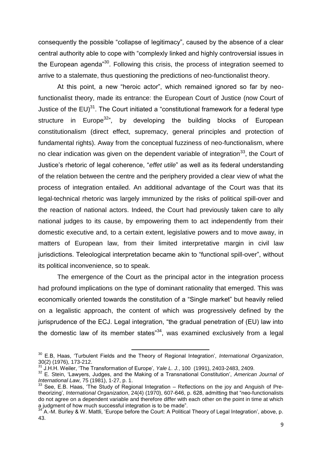consequently the possible "collapse of legitimacy", caused by the absence of a clear central authority able to cope with "complexly linked and highly controversial issues in the European agenda<sup>"30</sup>. Following this crisis, the process of integration seemed to arrive to a stalemate, thus questioning the predictions of neo-functionalist theory.

At this point, a new "heroic actor", which remained ignored so far by neofunctionalist theory, made its entrance: the European Court of Justice (now Court of Justice of the  $EU^{31}$ . The Court initiated a "constitutional framework for a federal type structure in Europe<sup>32</sup><sup>"</sup>, by developing the building blocks of European constitutionalism (direct effect, supremacy, general principles and protection of fundamental rights). Away from the conceptual fuzziness of neo-functionalism, where no clear indication was given on the dependent variable of integration<sup>33</sup>, the Court of Justice's rhetoric of legal coherence, "*effet utile*" as well as its federal understanding of the relation between the centre and the periphery provided a clear view of what the process of integration entailed. An additional advantage of the Court was that its legal-technical rhetoric was largely immunized by the risks of political spill-over and the reaction of national actors. Indeed, the Court had previously taken care to ally national judges to its cause, by empowering them to act independently from their domestic executive and, to a certain extent, legislative powers and to move away, in matters of European law, from their limited interpretative margin in civil law jurisdictions. Teleological interpretation became akin to "functional spill-over", without its political inconvenience, so to speak.

The emergence of the Court as the principal actor in the integration process had profound implications on the type of dominant rationality that emerged. This was economically oriented towards the constitution of a "Single market" but heavily relied on a legalistic approach, the content of which was progressively defined by the jurisprudence of the ECJ. Legal integration, "the gradual penetration of (EU) law into the domestic law of its member states<sup>"34</sup>, was examined exclusively from a legal

<sup>30</sup> E.B, Haas, 'Turbulent Fields and the Theory of Regional Integration', *International Organization*, 30(2) (1976), 173-212.

<sup>31</sup> J.H.H. Weiler, 'The Transformation of Europe', *Yale L. J.*, 100 (1991), 2403-2483, 2409.

<sup>32</sup> E. Stein, 'Lawyers, Judges, and the Making of a Transnational Constitution', *American Journal of International Law*, 75 (1981), 1-27, p. 1.

<sup>33</sup> See, E.B. Haas, 'The Study of Regional Integration – Reflections on the joy and Anguish of Pretheorizing', *International Organization*, 24(4) (1970), 607-646, p. 628, admitting that "neo-functionalists do not agree on a dependent variable and therefore differ with each other on the point in time at which a judgment of how much successful integration is to be made".

A.-M. Burley & W. Mattli, 'Europe before the Court: A Political Theory of Legal Integration', above, p. 43.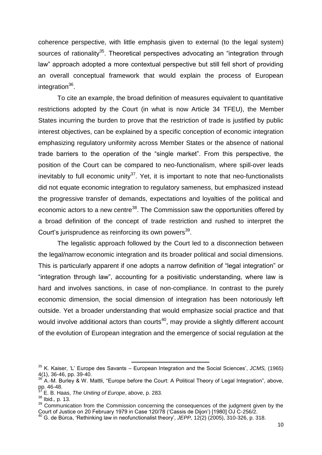coherence perspective, with little emphasis given to external (to the legal system) sources of rationality<sup>35</sup>. Theoretical perspectives advocating an "integration through law" approach adopted a more contextual perspective but still fell short of providing an overall conceptual framework that would explain the process of European integration<sup>36</sup>.

To cite an example, the broad definition of measures equivalent to quantitative restrictions adopted by the Court (in what is now Article 34 TFEU), the Member States incurring the burden to prove that the restriction of trade is justified by public interest objectives, can be explained by a specific conception of economic integration emphasizing regulatory uniformity across Member States or the absence of national trade barriers to the operation of the "single market". From this perspective, the position of the Court can be compared to neo-functionalism, where spill-over leads inevitably to full economic unity<sup>37</sup>. Yet, it is important to note that neo-functionalists did not equate economic integration to regulatory sameness, but emphasized instead the progressive transfer of demands, expectations and loyalties of the political and economic actors to a new centre<sup>38</sup>. The Commission saw the opportunities offered by a broad definition of the concept of trade restriction and rushed to interpret the Court's jurisprudence as reinforcing its own powers<sup>39</sup>.

The legalistic approach followed by the Court led to a disconnection between the legal/narrow economic integration and its broader political and social dimensions. This is particularly apparent if one adopts a narrow definition of "legal integration" or "integration through law", accounting for a positivistic understanding, where law is hard and involves sanctions, in case of non-compliance. In contrast to the purely economic dimension, the social dimension of integration has been notoriously left outside. Yet a broader understanding that would emphasize social practice and that would involve additional actors than courts<sup>40</sup>, may provide a slightly different account of the evolution of European integration and the emergence of social regulation at the

<sup>35</sup> K. Kaiser, 'L' Europe des Savants – European Integration and the Social Sciences', *JCMS,* (1965)  $4(1)$ , 36-46, pp. 39-40.

A.-M. Burley & W. Mattli, "Europe before the Court: A Political Theory of Legal Integration", above, pp. 46-48.

<sup>37</sup> E. B. Haas, *The Uniting of Europe*, above, p. 283.

<sup>38</sup> Ibid.*,* p. 13.

 $39$  Communication from the Commission concerning the consequences of the judgment given by the Court of Justice on 20 February 1979 in Case 120/78 ('Cassis de Dijon') [1980] OJ C-256/2.

<sup>40</sup> G. de Búrca, 'Rethinking law in neofunctionalist theory', *JEPP,* 12(2) (2005), 310-326, p. 318.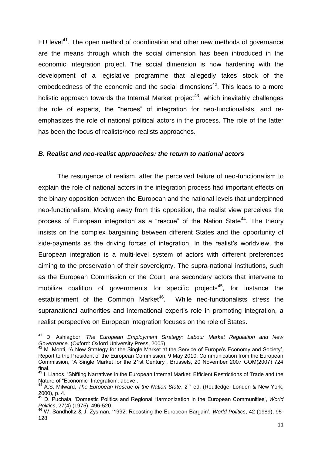EU level<sup>41</sup>. The open method of coordination and other new methods of governance are the means through which the social dimension has been introduced in the economic integration project. The social dimension is now hardening with the development of a legislative programme that allegedly takes stock of the embeddedness of the economic and the social dimensions<sup>42</sup>. This leads to a more holistic approach towards the Internal Market project<sup>43</sup>, which inevitably challenges the role of experts, the "heroes" of integration for neo-functionalists, and reemphasizes the role of national political actors in the process. The role of the latter has been the focus of realists/neo-realists approaches.

#### *B. Realist and neo-realist approaches: the return to national actors*

The resurgence of realism, after the perceived failure of neo-functionalism to explain the role of national actors in the integration process had important effects on the binary opposition between the European and the national levels that underpinned neo-functionalism. Moving away from this opposition, the realist view perceives the process of European integration as a "rescue" of the Nation State<sup>44</sup>. The theory insists on the complex bargaining between different States and the opportunity of side-payments as the driving forces of integration. In the realist's worldview, the European integration is a multi-level system of actors with different preferences aiming to the preservation of their sovereignty. The supra-national institutions, such as the European Commission or the Court, are secondary actors that intervene to mobilize coalition of governments for specific projects<sup>45</sup>, for instance the establishment of the Common Market<sup>46</sup>. While neo-functionalists stress the supranational authorities and international expert's role in promoting integration, a realist perspective on European integration focuses on the role of States.

<sup>41</sup> D. Ashiagbor, *The European Employment Strategy: Labour Market Regulation and New Governance.* (Oxford: Oxford University Press, 2005).

 $42$  M. Monti, 'A New Strategy for the Single Market at the Service of Europe's Economy and Society', Report to the President of the European Commission, 9 May 2010; Communication from the European Commission, "A Single Market for the 21st Century", Brussels, 20 November 2007 COM(2007) 724 final.

<sup>&</sup>lt;sup>3</sup> I. Lianos, 'Shifting Narratives in the European Internal Market: Efficient Restrictions of Trade and the Nature of "Economic" Integration', above..

<sup>44</sup> A.S. Milward, *The European Rescue of the Nation State*, 2<sup>nd</sup> ed. (Routledge: London & New York, 2000), p. 4.

<sup>45</sup> D. Puchala, 'Domestic Politics and Regional Harmonization in the European Communities', *World Politics*, 27(4) (1975), 496-520.

<sup>46</sup> W. Sandholtz & J. Zysman, '1992: Recasting the European Bargain', *World Politics*, 42 (1989), 95- 128.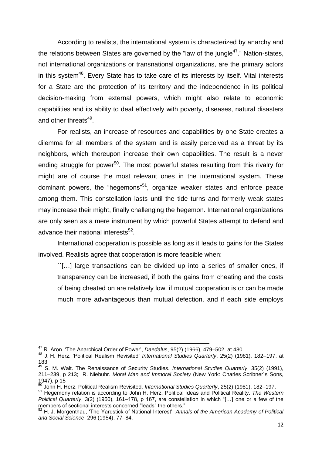According to realists, the international system is characterized by anarchy and the relations between States are governed by the "law of the jungle<sup>47</sup>." Nation-states, not international organizations or transnational organizations, are the primary actors in this system<sup>48</sup>. Every State has to take care of its interests by itself. Vital interests for a State are the protection of its territory and the independence in its political decision-making from external powers, which might also relate to economic capabilities and its ability to deal effectively with poverty, diseases, natural disasters and other threats<sup>49</sup>.

For realists, an increase of resources and capabilities by one State creates a dilemma for all members of the system and is easily perceived as a threat by its neighbors, which thereupon increase their own capabilities. The result is a never ending struggle for power<sup>50</sup>. The most powerful states resulting from this rivalry for might are of course the most relevant ones in the international system. These dominant powers, the "hegemons"<sup>51</sup>, organize weaker states and enforce peace among them. This constellation lasts until the tide turns and formerly weak states may increase their might, finally challenging the hegemon. International organizations are only seen as a mere instrument by which powerful States attempt to defend and advance their national interests<sup>52</sup>.

International cooperation is possible as long as it leads to gains for the States involved. Realists agree that cooperation is more feasible when:

``[…] large transactions can be divided up into a series of smaller ones, if transparency can be increased, if both the gains from cheating and the costs of being cheated on are relatively low, if mutual cooperation is or can be made much more advantageous than mutual defection, and if each side employs

<sup>47</sup> R. Aron. 'The Anarchical Order of Power', *Daedalus*, 95(2) (1966), 479–502, at 480

<sup>48</sup> J. H. Herz. 'Political Realism Revisited' *International Studies Quarterly*, 25(2) (1981), 182–197, at 183

<sup>49</sup> S. M. Walt. The Renaissance of Security Studies. *International Studies Quarterly*, 35(2) (1991), 211–239, p 213; R. Niebuhr. *Moral Man and Immoral Society* (New York: Charles Scribner´s Sons, 1947), p 15

<sup>50</sup> John H. Herz. Political Realism Revisited. *International Studies Quarterly*, 25(2) (1981), 182–197.

<sup>51</sup> Hegemony relation is according to John H. Herz. Political Ideas and Political Reality. *The Western Political Quarterly*, 3(2) (1950), 161–178, p 167, are constellation in which "[…] one or a few of the members of sectional interests concerned "leads" the others."

<sup>52</sup> H. J. Morgenthau, 'The Yardstick of National Interest', *Annals of the American Academy of Political and Social Science*, 296 (1954), 77–84.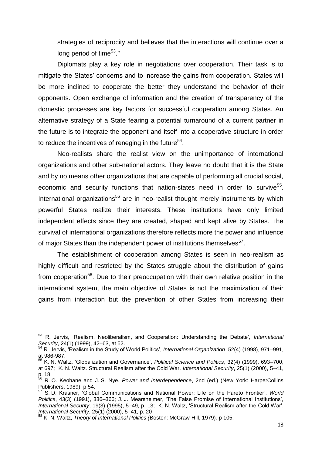strategies of reciprocity and believes that the interactions will continue over a long period of time<sup>53</sup>."

Diplomats play a key role in negotiations over cooperation. Their task is to mitigate the States' concerns and to increase the gains from cooperation. States will be more inclined to cooperate the better they understand the behavior of their opponents. Open exchange of information and the creation of transparency of the domestic processes are key factors for successful cooperation among States. An alternative strategy of a State fearing a potential turnaround of a current partner in the future is to integrate the opponent and itself into a cooperative structure in order to reduce the incentives of reneging in the future<sup>54</sup>.

Neo-realists share the realist view on the unimportance of international organizations and other sub-national actors. They leave no doubt that it is the State and by no means other organizations that are capable of performing all crucial social, economic and security functions that nation-states need in order to survive<sup>55</sup>. International organizations<sup>56</sup> are in neo-realist thought merely instruments by which powerful States realize their interests. These institutions have only limited independent effects since they are created, shaped and kept alive by States. The survival of international organizations therefore reflects more the power and influence of major States than the independent power of institutions themselves<sup>57</sup>.

The establishment of cooperation among States is seen in neo-realism as highly difficult and restricted by the States struggle about the distribution of gains from cooperation<sup>58</sup>. Due to their preoccupation with their own relative position in the international system, the main objective of States is not the maximization of their gains from interaction but the prevention of other States from increasing their

<sup>53</sup> R. Jervis, 'Realism, Neoliberalism, and Cooperation: Understanding the Debate', *International Security*, 24(1) (1999), 42–63, at 52.

<sup>54</sup> R. Jervis, 'Realism in the Study of World Politics', *International Organization*, 52(4) (1998), 971–991, at 986-987.

<sup>55</sup> K. N. Waltz. 'Globalization and Governance', *Political Science and Politics*, 32(4) (1999), 693–700, at 697; K. N. Waltz. Structural Realism after the Cold War. *International Security*, 25(1) (2000), 5–41, p. 18<br>56 D

<sup>56</sup> R. O. Keohane and J. S. Nye. *Power and Interdependence*, 2nd (ed.) (New York: HarperCollins Publishers, 1989), p 54.

<sup>57</sup> S. D. Krasner, 'Global Communications and National Power: Life on the Pareto Frontier', *World Politics*, 43(3) (1991), 336–366; J. J. Mearsheimer, 'The False Promise of International Institutions', *International Security*, 19(3) (1995), 5–49, p. 13; K. N. Waltz, 'Structural Realism after the Cold War', *International Security*, 25(1) (2000), 5–41, p. 20

<sup>58</sup> K. N. Waltz, *Theory of International Politics (*Boston: McGraw-Hill, 1979)*,* p 105.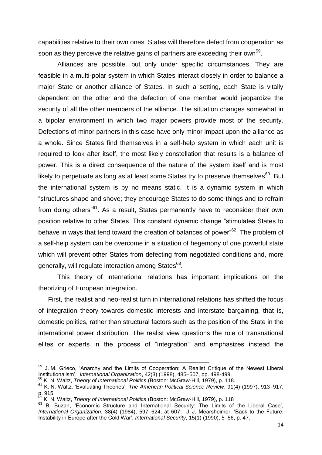capabilities relative to their own ones. States will therefore defect from cooperation as soon as they perceive the relative gains of partners are exceeding their own<sup>59</sup>.

Alliances are possible, but only under specific circumstances. They are feasible in a multi-polar system in which States interact closely in order to balance a major State or another alliance of States. In such a setting, each State is vitally dependent on the other and the defection of one member would jeopardize the security of all the other members of the alliance. The situation changes somewhat in a bipolar environment in which two major powers provide most of the security. Defections of minor partners in this case have only minor impact upon the alliance as a whole. Since States find themselves in a self-help system in which each unit is required to look after itself, the most likely constellation that results is a balance of power. This is a direct consequence of the nature of the system itself and is most likely to perpetuate as long as at least some States try to preserve themselves<sup>60</sup>. But the international system is by no means static. It is a dynamic system in which "structures shape and shove; they encourage States to do some things and to refrain from doing others"<sup>61</sup>. As a result, States permanently have to reconsider their own position relative to other States. This constant dynamic change "stimulates States to behave in ways that tend toward the creation of balances of power<sup>"62</sup>. The problem of a self-help system can be overcome in a situation of hegemony of one powerful state which will prevent other States from defecting from negotiated conditions and, more generally, will regulate interaction among States<sup>63</sup>.

This theory of international relations has important implications on the theorizing of European integration.

First, the realist and neo-realist turn in international relations has shifted the focus of integration theory towards domestic interests and interstate bargaining, that is, domestic politics, rather than structural factors such as the position of the State in the international power distribution. The realist view questions the role of transnational elites or experts in the process of "integration" and emphasizes instead the

<sup>&</sup>lt;sup>59</sup> J. M. Grieco, 'Anarchy and the Limits of Cooperation: A Realist Critique of the Newest Liberal Institutionalism', *International Organization*, 42(3) (1998), 485–507, pp. 498-499.

<sup>60</sup> K. N. Waltz, *Theory of International Politics* (Boston: McGraw-Hill, 1979), p. 118.

<sup>61</sup> K. N. Waltz, 'Evaluating Theories', *The American Political Science Review*, 91(4) (1997), 913–917,  $p. 915.$ 

<sup>62</sup> K. N. Waltz, *Theory of International Politics* (Boston: McGraw-Hill, 1979), p. 118

<sup>&</sup>lt;sup>63</sup> B. Buzan, 'Economic Structure and International Security: The Limits of the Liberal Case', *International Organization*, 38(4) (1984), 597–624, at 607; J. J. Mearsheimer, 'Back to the Future: Instability in Europe after the Cold War', *International Security*, 15(1) (1990), 5–56, p. 47.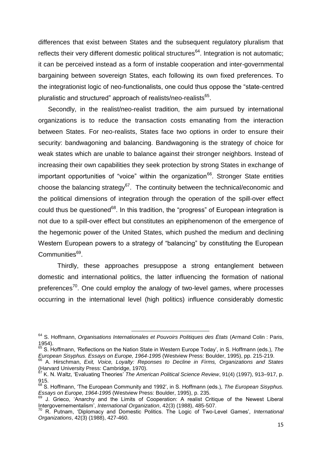differences that exist between States and the subsequent regulatory pluralism that reflects their very different domestic political structures<sup>64</sup>. Integration is not automatic; it can be perceived instead as a form of instable cooperation and inter-governmental bargaining between sovereign States, each following its own fixed preferences. To the integrationist logic of neo-functionalists, one could thus oppose the "state-centred pluralistic and structured" approach of realists/neo-realists<sup>65</sup>.

Secondly, in the realist/neo-realist tradition, the aim pursued by international organizations is to reduce the transaction costs emanating from the interaction between States. For neo-realists, States face two options in order to ensure their security: bandwagoning and balancing. Bandwagoning is the strategy of choice for weak states which are unable to balance against their stronger neighbors. Instead of increasing their own capabilities they seek protection by strong States in exchange of important opportunities of "voice" within the organization<sup>66</sup>. Stronger State entities choose the balancing strategy<sup>67</sup>. The continuity between the technical/economic and the political dimensions of integration through the operation of the spill-over effect could thus be questioned<sup>68</sup>. In this tradition, the "progress" of European integration is not due to a spill-over effect but constitutes an epiphenomenon of the emergence of the hegemonic power of the United States, which pushed the medium and declining Western European powers to a strategy of "balancing" by constituting the European Communities<sup>69</sup>.

Thirdly, these approaches presuppose a strong entanglement between domestic and international politics, the latter influencing the formation of national preferences<sup>70</sup>. One could employ the analogy of two-level games, where processes occurring in the international level (high politics) influence considerably domestic

<sup>64</sup> S. Hoffmann, *Organisations Internationales et Pouvoirs Politiques des États* (Armand Colin : Paris, 1954).

<sup>65</sup> S. Hoffmann, 'Reflections on the Nation State in Western Europe Today', in S. Hoffmann (eds.), *The European Sisyphus. Essays on the Hallon Jiale in Western Europe Today, In S. Hoffmann (eds.),*<br>European Sisyphus. Essays on Europe, 1964-1995 (Westview Press: Boulder, 1995), pp. 215-219.

<sup>66</sup> A. Hirschman, *Exit, Voice, Loyalty: Reponses to Decline in Firms, Organizations and States* (Harvard University Press: Cambridge, 1970).

K. N. Waltz, 'Evaluating Theories' *The American Political Science Review*, 91(4) (1997), 913–917, p. 915.

<sup>&</sup>lt;sup>68</sup> S. Hoffmann. 'The European Community and 1992', in S. Hoffmann (eds.), The European Sisyphus. *Essays on Europe, 1964-1995* (Westview Press: Boulder, 1995), p. 235.

<sup>&</sup>lt;sup>69</sup> J. Grieco, 'Anarchy and the Limits of Cooperation: A realist Critique of the Newest Liberal Intergovernementalism', *International Organization*, 42(3) (1988), 485-507.

<sup>70</sup> R. Putnam, 'Diplomacy and Domestic Politics. The Logic of Two-Level Games', *International Organizations*, 42(3) (1988), 427-460.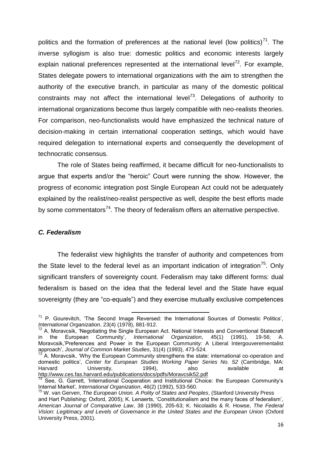politics and the formation of preferences at the national level (low politics)<sup>71</sup>. The inverse syllogism is also true: domestic politics and economic interests largely explain national preferences represented at the international level<sup>72</sup>. For example, States delegate powers to international organizations with the aim to strengthen the authority of the executive branch, in particular as many of the domestic political constraints may not affect the international level<sup>73</sup>. Delegations of authority to international organizations become thus largely compatible with neo-realists theories. For comparison, neo-functionalists would have emphasized the technical nature of decision-making in certain international cooperation settings, which would have required delegation to international experts and consequently the development of technocratic consensus.

The role of States being reaffirmed, it became difficult for neo-functionalists to argue that experts and/or the "heroic" Court were running the show. However, the progress of economic integration post Single European Act could not be adequately explained by the realist/neo-realist perspective as well, despite the best efforts made by some commentators<sup>74</sup>. The theory of federalism offers an alternative perspective.

#### *C. Federalism*

The federalist view highlights the transfer of authority and competences from the State level to the federal level as an important indication of integration<sup>75</sup>. Only significant transfers of sovereignty count. Federalism may take different forms: dual federalism is based on the idea that the federal level and the State have equal sovereignty (they are "co-equals") and they exercise mutually exclusive competences

 $71$  P. Gourevitch, 'The Second Image Reversed: the International Sources of Domestic Politics', *International Organization*, 23(4) (1978), 881-912.

 $\frac{72}{72}$  A. Moravcsik, 'Negotiating the Single European Act. National Interests and Conventional Statecraft in the European Community', *International Organization*, 45(1) (1991), 19-56; A. Moravcsik,'Preferences and Power in the European Community: A Liberal Intergouverementalist approach', *Journal of Common Market Studies*, 31(4) (1993), 473-524.

A. Moravcsik, 'Why the European Community strengthens the state: international co-operation and domestic politics', *Center for European Studies Working Paper Series No. 52* (Cambridge, MA: Harvard University, 1994), also available at <http://www.ces.fas.harvard.edu/publications/docs/pdfs/Moravcsik52.pdf>

<sup>74</sup> See, G. Garrett, 'International Cooperation and Institutional Choice: the European Community's Internal Market'*, International Organization*, 46(2) (1992), 533-560.

<sup>75</sup> W. van Gerven, *The European Union. A Polity of States and Peoples*, (Stanford University Press and Hart Publishing: Oxford, 2005); K. Lenaerts, 'Constitutionalism and the many faces of federalism', *American Journal of Comparative Law*, 38 (1990), 205-63; K. Nicolaidis & R. Howse, *The Federal Vision: Legitimacy and Levels of Governance in the United States and the European Union* (Oxford University Press, 2001).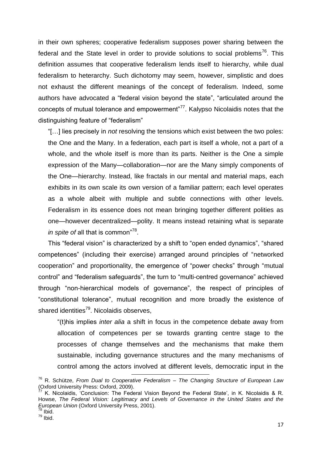in their own spheres; cooperative federalism supposes power sharing between the federal and the State level in order to provide solutions to social problems<sup>76</sup>. This definition assumes that cooperative federalism lends itself to hierarchy, while dual federalism to heterarchy. Such dichotomy may seem, however, simplistic and does not exhaust the different meanings of the concept of federalism. Indeed, some authors have advocated a "federal vision beyond the state", "articulated around the concepts of mutual tolerance and empowerment"<sup>77</sup>. Kalypso Nicolaidis notes that the distinguishing feature of "federalism"

"[…] lies precisely in *not* resolving the tensions which exist between the two poles: the One and the Many. In a federation, each part is itself a whole, not a part of a whole, and the whole itself is more than its parts. Neither is the One a simple expression of the Many—collaboration—nor are the Many simply components of the One—hierarchy. Instead, like fractals in our mental and material maps, each exhibits in its own scale its own version of a familiar pattern; each level operates as a whole albeit with multiple and subtle connections with other levels. Federalism in its essence does not mean bringing together different polities as one—however decentralized—polity. It means instead retaining what is separate in spite of all that is common"<sup>78</sup>.

This "federal vision" is characterized by a shift to "open ended dynamics", "shared competences" (including their exercise) arranged around principles of "networked cooperation" and proportionality, the emergence of "power checks" through "mutual control" and "federalism safeguards", the turn to "multi-centred governance" achieved through "non-hierarchical models of governance", the respect of principles of "constitutional tolerance", mutual recognition and more broadly the existence of shared identities<sup>79</sup>. Nicolaidis observes,

"(t)his implies *inter alia* a shift in focus in the competence debate away from allocation of competences per se towards granting centre stage to the processes of change themselves and the mechanisms that make them sustainable, including governance structures and the many mechanisms of control among the actors involved at different levels, democratic input in the

<sup>1</sup> <sup>76</sup> R. Schütze, *From Dual to Cooperative Federalism – The Changing Structure of European Law* (Oxford University Press: Oxford, 2009).

<sup>77</sup> K. Nicolaidis, 'Conclusion: The Federal Vision Beyond the Federal State', in K. Nicolaidis & R. Howse, *The Federal Vision: Legitimacy and Levels of Governance in the United States and the European Union* (Oxford University Press, 2001).  $78$  Ibid.

 $79$  Ibid.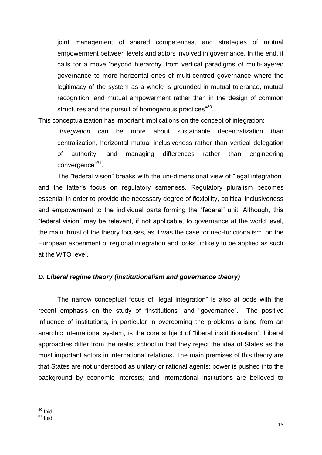joint management of shared competences, and strategies of mutual empowerment between levels and actors involved in governance. In the end, it calls for a move 'beyond hierarchy' from vertical paradigms of multi-layered governance to more horizontal ones of multi-centred governance where the legitimacy of the system as a whole is grounded in mutual tolerance, mutual recognition, and mutual empowerment rather than in the design of common structures and the pursuit of homogenous practices"<sup>80</sup>.

This conceptualization has important implications on the concept of integration:

"*Integration* can be more about sustainable decentralization than centralization, horizontal mutual inclusiveness rather than vertical delegation of authority, and managing differences rather than engineering convergence"<sup>81</sup>.

The "federal vision" breaks with the uni-dimensional view of "legal integration" and the latter's focus on regulatory sameness. Regulatory pluralism becomes essential in order to provide the necessary degree of flexibility, political inclusiveness and empowerment to the individual parts forming the "federal" unit. Although, this "federal vision" may be relevant, if not applicable, to governance at the world level, the main thrust of the theory focuses, as it was the case for neo-functionalism, on the European experiment of regional integration and looks unlikely to be applied as such at the WTO level.

#### *D. Liberal regime theory (institutionalism and governance theory)*

 $\overline{a}$ 

The narrow conceptual focus of "legal integration" is also at odds with the recent emphasis on the study of "institutions" and "governance". The positive influence of institutions, in particular in overcoming the problems arising from an anarchic international system, is the core subject of "liberal institutionalism". Liberal approaches differ from the realist school in that they reject the idea of States as the most important actors in international relations. The main premises of this theory are that States are not understood as unitary or rational agents; power is pushed into the background by economic interests; and international institutions are believed to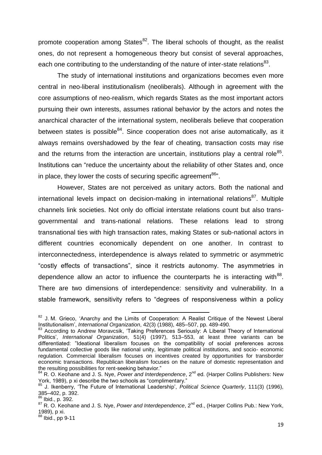promote cooperation among States $^{82}$ . The liberal schools of thought, as the realist ones, do not represent a homogeneous theory but consist of several approaches, each one contributing to the understanding of the nature of inter-state relations $^{83}$ .

The study of international institutions and organizations becomes even more central in neo-liberal institutionalism (neoliberals). Although in agreement with the core assumptions of neo-realism, which regards States as the most important actors pursuing their own interests, assumes rational behavior by the actors and notes the anarchical character of the international system, neoliberals believe that cooperation between states is possible<sup>84</sup>. Since cooperation does not arise automatically, as it always remains overshadowed by the fear of cheating, transaction costs may rise and the returns from the interaction are uncertain, institutions play a central role $^{85}$ . Institutions can "reduce the uncertainty about the reliability of other States and, once in place, they lower the costs of securing specific agreement<sup>86"</sup>.

However, States are not perceived as unitary actors. Both the national and international levels impact on decision-making in international relations<sup>87</sup>. Multiple channels link societies. Not only do official interstate relations count but also transgovernmental and trans-national relations. These relations lead to strong transnational ties with high transaction rates, making States or sub-national actors in different countries economically dependent on one another. In contrast to interconnectedness, interdependence is always related to symmetric or asymmetric "costly effects of transactions", since it restricts autonomy. The asymmetries in dependence allow an actor to influence the counterparts he is interacting with $^{88}$ . There are two dimensions of interdependence: sensitivity and vulnerability. In a stable framework, sensitivity refers to "degrees of responsiveness within a policy

 $82$  J. M. Grieco, 'Anarchy and the Limits of Cooperation: A Realist Critique of the Newest Liberal Institutionalism', *International Organization*, 42(3) (1988), 485–507, pp. 489-490.

<sup>83</sup> According to Andrew Moravcsik, 'Taking Preferences Seriously: A Liberal Theory of International Politics', *International Organization*, 51(4) (1997), 513–553, at least three variants can be differentiated: "Ideational liberalism focuses on the compatibility of social preferences across fundamental collective goods like national unity, legitimate political institutions, and socio- economic regulation. Commercial liberalism focuses on incentives created by opportunities for transborder economic transactions. Republican liberalism focuses on the nature of domestic representation and the resulting possibilities for rent-seeking behavior."

<sup>&</sup>lt;sup>4</sup> R. O. Keohane and J. S. Nye, *Power and Interdependence*, 2<sup>nd</sup> ed. (Harper Collins Publishers: New York, 1989), p xi describe the two schools as "complimentary."

<sup>85</sup> J. Ikenberry, 'The Future of International Leadership', *Political Science Quarterly*, 111(3) (1996), 385–402, p. 392.

<sup>86</sup> Ibid., p. 392.

<sup>&</sup>lt;sup>87</sup> R. O. Keohane and J. S. Nye, *Power and Interdependence*, 2<sup>nd</sup> ed., (Harper Collins Pub.: New York, 1989), p xi.

<sup>88</sup> Ibid., pp 9-11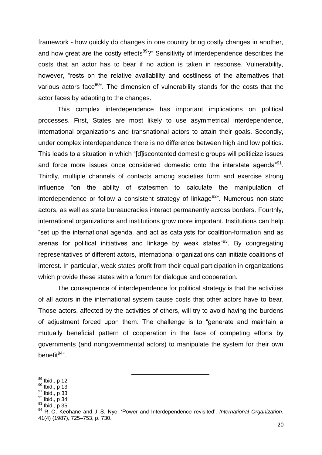framework - how quickly do changes in one country bring costly changes in another, and how great are the costly effects<sup>89</sup>?" Sensitivity of interdependence describes the costs that an actor has to bear if no action is taken in response. Vulnerability, however, "rests on the relative availability and costliness of the alternatives that various actors face<sup>90</sup>". The dimension of vulnerability stands for the costs that the actor faces by adapting to the changes.

This complex interdependence has important implications on political processes. First, States are most likely to use asymmetrical interdependence, international organizations and transnational actors to attain their goals. Secondly, under complex interdependence there is no difference between high and low politics. This leads to a situation in which "[d]iscontented domestic groups will politicize issues and force more issues once considered domestic onto the interstate agenda"<sup>91</sup>. Thirdly, multiple channels of contacts among societies form and exercise strong influence "on the ability of statesmen to calculate the manipulation of interdependence or follow a consistent strategy of linkage<sup>92</sup>". Numerous non-state actors, as well as state bureaucracies interact permanently across borders. Fourthly, international organizations and institutions grow more important. Institutions can help "set up the international agenda, and act as catalysts for coalition-formation and as arenas for political initiatives and linkage by weak states<sup>"93</sup>. By congregating representatives of different actors, international organizations can initiate coalitions of interest. In particular, weak states profit from their equal participation in organizations which provide these states with a forum for dialogue and cooperation.

The consequence of interdependence for political strategy is that the activities of all actors in the international system cause costs that other actors have to bear. Those actors, affected by the activities of others, will try to avoid having the burdens of adjustment forced upon them. The challenge is to "generate and maintain a mutually beneficial pattern of cooperation in the face of competing efforts by governments (and nongovernmental actors) to manipulate the system for their own benefit $94$ ".

<sup>92</sup> Ibid., p 34.

<sup>89</sup> Ibid., p 12

<sup>90</sup> Ibid., p 13.

<sup>91</sup> Ibid., p 33

<sup>93</sup> Ibid., p 35.

<sup>94</sup> R. O. Keohane and J. S. Nye, 'Power and Interdependence revisited', *International Organization*, 41(4) (1987), 725–753, p. 730.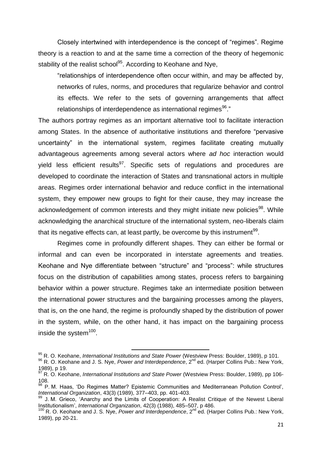Closely intertwined with interdependence is the concept of "regimes". Regime theory is a reaction to and at the same time a correction of the theory of hegemonic stability of the realist school<sup>95</sup>. According to Keohane and Nye,

"relationships of interdependence often occur within, and may be affected by, networks of rules, norms, and procedures that regularize behavior and control its effects. We refer to the sets of governing arrangements that affect relationships of interdependence as international regimes<sup>96</sup>."

The authors portray regimes as an important alternative tool to facilitate interaction among States. In the absence of authoritative institutions and therefore "pervasive uncertainty" in the international system, regimes facilitate creating mutually advantageous agreements among several actors where *ad hoc* interaction would yield less efficient results<sup>97</sup>. Specific sets of regulations and procedures are developed to coordinate the interaction of States and transnational actors in multiple areas. Regimes order international behavior and reduce conflict in the international system, they empower new groups to fight for their cause, they may increase the acknowledgement of common interests and they might initiate new policies<sup>98</sup>. While acknowledging the anarchical structure of the international system, neo-liberals claim that its negative effects can, at least partly, be overcome by this instrument $^{99}$ .

Regimes come in profoundly different shapes. They can either be formal or informal and can even be incorporated in interstate agreements and treaties. Keohane and Nye differentiate between "structure" and "process": while structures focus on the distribution of capabilities among states, process refers to bargaining behavior within a power structure. Regimes take an intermediate position between the international power structures and the bargaining processes among the players, that is, on the one hand, the regime is profoundly shaped by the distribution of power in the system, while, on the other hand, it has impact on the bargaining process inside the system<sup>100</sup>.

<sup>95</sup> R. O. Keohane, *International Institutions and State Power* (Westview Press: Boulder, 1989), p 101.

<sup>&</sup>lt;sup>96</sup> R. O. Keohane and J. S. Nye, *Power and Interdependence*, 2<sup>nd</sup> ed. (Harper Collins Pub.: New York, 1989), p 19.

<sup>97</sup> R. O. Keohane, *International Institutions and State Power* (Westview Press: Boulder, 1989), pp 106- 108.

<sup>98</sup> P. M. Haas, 'Do Regimes Matter? Epistemic Communities and Mediterranean Pollution Control', *International Organization*, 43(3) (1989), 377–403, pp. 401-403.

<sup>99</sup> J. M. Grieco, 'Anarchy and the Limits of Cooperation: A Realist Critique of the Newest Liberal Institutionalism', *International Organization*, 42(3) (1988), 485–507, p 486.

<sup>&</sup>lt;sup>100</sup> R. O. Keohane and J. S. Nye, *Power and Interdependence*, 2<sup>nd</sup> ed. (Harper Collins Pub.: New York, 1989), pp 20-21.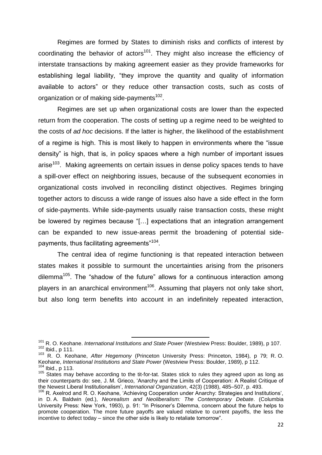Regimes are formed by States to diminish risks and conflicts of interest by coordinating the behavior of actors<sup>101</sup>. They might also increase the efficiency of interstate transactions by making agreement easier as they provide frameworks for establishing legal liability, "they improve the quantity and quality of information available to actors" or they reduce other transaction costs, such as costs of organization or of making side-payments<sup>102</sup>.

Regimes are set up when organizational costs are lower than the expected return from the cooperation. The costs of setting up a regime need to be weighted to the costs of *ad hoc* decisions. If the latter is higher, the likelihood of the establishment of a regime is high. This is most likely to happen in environments where the "issue density" is high, that is, in policy spaces where a high number of important issues arise $103$ . Making agreements on certain issues in dense policy spaces tends to have a spill-over effect on neighboring issues, because of the subsequent economies in organizational costs involved in reconciling distinct objectives. Regimes bringing together actors to discuss a wide range of issues also have a side effect in the form of side-payments. While side-payments usually raise transaction costs, these might be lowered by regimes because "[…] expectations that an integration arrangement can be expanded to new issue-areas permit the broadening of potential sidepayments, thus facilitating agreements"<sup>104</sup>.

The central idea of regime functioning is that repeated interaction between states makes it possible to surmount the uncertainties arising from the prisoners dilemma<sup>105</sup>. The "shadow of the future" allows for a continuous interaction among players in an anarchical environment<sup>106</sup>. Assuming that players not only take short, but also long term benefits into account in an indefinitely repeated interaction,

<sup>101</sup> R. O. Keohane. *International Institutions and State Power* (Westview Press: Boulder, 1989), p 107. <sup>102</sup> Ibid., p 111.

<sup>103</sup> R. O. Keohane, *After Hegemony* (Princeton University Press: Princeton, 1984), p 79; R. O. Keohane, *International Institutions and State Power* (Westview Press: Boulder, 1989), p 112. <sup>104</sup> Ibid., p 113.

<sup>105</sup> States may behave according to the tit-for-tat. States stick to rules they agreed upon as long as their counterparts do: see, J. M. Grieco, 'Anarchy and the Limits of Cooperation: A Realist Critique of the Newest Liberal Institutionalism', *International Organization*, 42(3) (1988), 485–507, p. 493.

<sup>106</sup> Remost Eiseren instrumention, international Cooperation under Anarchy: Strategies and Institutions', in D. A. Baldwin (ed.), *Neorealism and Neoliberalism: The Contemporary Debate*. (Columbia University Press: New York, 1993), p. 91: "In Prisoner's Dilemma, concern about the future helps to promote cooperation. The more future payoffs are valued relative to current payoffs, the less the incentive to defect today – since the other side is likely to retaliate tomorrow".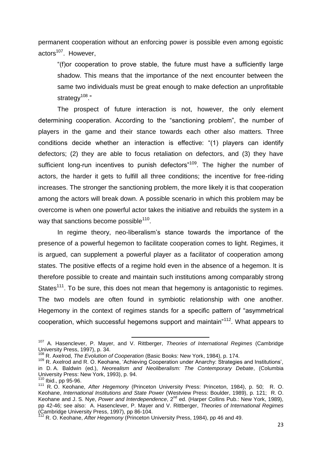permanent cooperation without an enforcing power is possible even among egoistic actors $107$ . However,

"(f)or cooperation to prove stable, the future must have a sufficiently large shadow. This means that the importance of the next encounter between the same two individuals must be great enough to make defection an unprofitable strategy<sup>108</sup>."

The prospect of future interaction is not, however, the only element determining cooperation. According to the "sanctioning problem", the number of players in the game and their stance towards each other also matters. Three conditions decide whether an interaction is effective: "(1) players can identify defectors; (2) they are able to focus retaliation on defectors, and (3) they have sufficient long-run incentives to punish defectors"<sup>109</sup>. The higher the number of actors, the harder it gets to fulfill all three conditions; the incentive for free-riding increases. The stronger the sanctioning problem, the more likely it is that cooperation among the actors will break down. A possible scenario in which this problem may be overcome is when one powerful actor takes the initiative and rebuilds the system in a way that sanctions become possible<sup>110</sup>.

In regime theory, neo-liberalism's stance towards the importance of the presence of a powerful hegemon to facilitate cooperation comes to light. Regimes, it is argued, can supplement a powerful player as a facilitator of cooperation among states. The positive effects of a regime hold even in the absence of a hegemon. It is therefore possible to create and maintain such institutions among comparably strong States<sup>111</sup>. To be sure, this does not mean that hegemony is antagonistic to regimes. The two models are often found in symbiotic relationship with one another. Hegemony in the context of regimes stands for a specific pattern of "asymmetrical cooperation, which successful hegemons support and maintain"<sup>112</sup>. What appears to

<sup>107</sup> A. Hasenclever, P. Mayer, and V. Rittberger, *Theories of International Regimes* (Cambridge University Press, 1997), p. 34.

<sup>&</sup>lt;sup>1</sup> R. Axelrod, *The Evolution of Cooperation* (Basic Books: New York, 1984), p. 174.

<sup>&</sup>lt;sup>109</sup> R. Axelrod and R. O. Keohane, 'Achieving Cooperation under Anarchy: Strategies and Institutions', in D. A. Baldwin (ed.), *Neorealism and Neoliberalism: The Contemporary Debate*, (Columbia University Press: New York, 1993), p. 94.

 $\overline{\phantom{a}}$  Ibid., pp 95-96.

<sup>111</sup> R. O. Keohane, *After Hegemony* (Princeton University Press: Princeton, 1984), p. 50; R. O. Keohane, *International Institutions and State Power* (Westview Press: Boulder, 1989), p. 121; R. O. Keohane and J. S. Nye, *Power and Interdependence*, 2<sup>nd</sup> ed. (Harper Collins Pub.: New York, 1989), pp 42-46; see also: A. Hasenclever, P. Mayer and V. Rittberger, *Theories of International Regimes* (Cambridge University Press, 1997), pp 86-104.

<sup>112</sup> R. O. Keohane, *After Hegemony* (Princeton University Press, 1984), pp 46 and 49.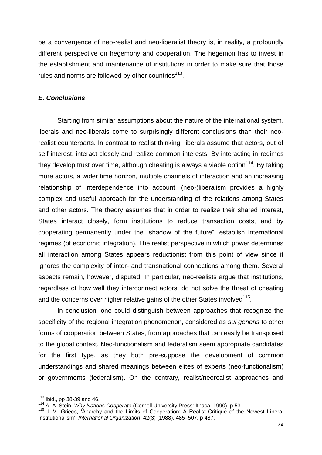be a convergence of neo-realist and neo-liberalist theory is, in reality, a profoundly different perspective on hegemony and cooperation. The hegemon has to invest in the establishment and maintenance of institutions in order to make sure that those rules and norms are followed by other countries $^{113}$ .

#### *E. Conclusions*

Starting from similar assumptions about the nature of the international system, liberals and neo-liberals come to surprisingly different conclusions than their neorealist counterparts. In contrast to realist thinking, liberals assume that actors, out of self interest, interact closely and realize common interests. By interacting in regimes they develop trust over time, although cheating is always a viable option<sup>114</sup>. By taking more actors, a wider time horizon, multiple channels of interaction and an increasing relationship of interdependence into account, (neo-)liberalism provides a highly complex and useful approach for the understanding of the relations among States and other actors. The theory assumes that in order to realize their shared interest, States interact closely, form institutions to reduce transaction costs, and by cooperating permanently under the "shadow of the future", establish international regimes (of economic integration). The realist perspective in which power determines all interaction among States appears reductionist from this point of view since it ignores the complexity of inter- and transnational connections among them. Several aspects remain, however, disputed. In particular, neo-realists argue that institutions, regardless of how well they interconnect actors, do not solve the threat of cheating and the concerns over higher relative gains of the other States involved $115$ .

In conclusion, one could distinguish between approaches that recognize the specificity of the regional integration phenomenon, considered as *sui generis* to other forms of cooperation between States, from approaches that can easily be transposed to the global context. Neo-functionalism and federalism seem appropriate candidates for the first type, as they both pre-suppose the development of common understandings and shared meanings between elites of experts (neo-functionalism) or governments (federalism). On the contrary, realist/neorealist approaches and

 $113$  Ibid., pp 38-39 and 46.

<sup>114</sup> A. A. Stein, *Why Nations Cooperate* (Cornell University Press: Ithaca, 1990), p 53.

<sup>115</sup> J. M. Grieco, 'Anarchy and the Limits of Cooperation: A Realist Critique of the Newest Liberal Institutionalism', *International Organization*, 42(3) (1988), 485–507, p 487.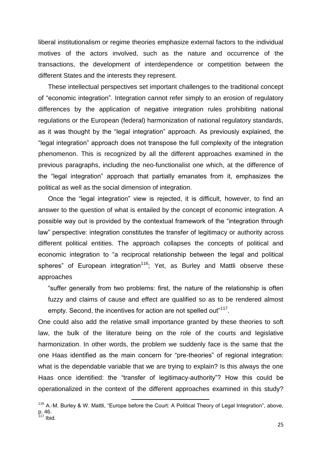liberal institutionalism or regime theories emphasize external factors to the individual motives of the actors involved, such as the nature and occurrence of the transactions, the development of interdependence or competition between the different States and the interests they represent.

These intellectual perspectives set important challenges to the traditional concept of "economic integration". Integration cannot refer simply to an erosion of regulatory differences by the application of negative integration rules prohibiting national regulations or the European (federal) harmonization of national regulatory standards, as it was thought by the "legal integration" approach. As previously explained, the "legal integration" approach does not transpose the full complexity of the integration phenomenon. This is recognized by all the different approaches examined in the previous paragraphs, including the neo-functionalist one which, at the difference of the "legal integration" approach that partially emanates from it, emphasizes the political as well as the social dimension of integration.

Once the "legal integration" view is rejected, it is difficult, however, to find an answer to the question of what is entailed by the concept of economic integration. A possible way out is provided by the contextual framework of the "integration through law" perspective: integration constitutes the transfer of legitimacy or authority across different political entities. The approach collapses the concepts of political and economic integration to "a reciprocal relationship between the legal and political spheres" of European integration<sup>116</sup>; Yet, as Burley and Mattli observe these approaches

"suffer generally from two problems: first, the nature of the relationship is often fuzzy and claims of cause and effect are qualified so as to be rendered almost empty. Second, the incentives for action are not spelled out"<sup>117</sup>.

One could also add the relative small importance granted by these theories to soft law, the bulk of the literature being on the role of the courts and legislative harmonization. In other words, the problem we suddenly face is the same that the one Haas identified as the main concern for "pre-theories" of regional integration: what is the dependable variable that we are trying to explain? Is this always the one Haas once identified: the "transfer of legitimacy-authority"? How this could be operationalized in the context of the different approaches examined in this study?

 $116$  A.-M. Burley & W. Mattli, "Europe before the Court: A Political Theory of Legal Integration", above, p. 46. <sup>117</sup> Ibid.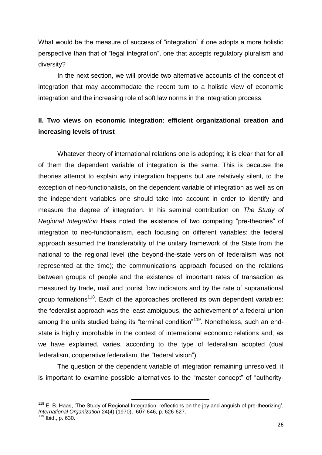What would be the measure of success of "integration" if one adopts a more holistic perspective than that of "legal integration", one that accepts regulatory pluralism and diversity?

In the next section, we will provide two alternative accounts of the concept of integration that may accommodate the recent turn to a holistic view of economic integration and the increasing role of soft law norms in the integration process.

### **II. Two views on economic integration: efficient organizational creation and increasing levels of trust**

Whatever theory of international relations one is adopting; it is clear that for all of them the dependent variable of integration is the same. This is because the theories attempt to explain why integration happens but are relatively silent, to the exception of neo-functionalists, on the dependent variable of integration as well as on the independent variables one should take into account in order to identify and measure the degree of integration. In his seminal contribution on *The Study of Regional Integration* Haas noted the existence of two competing "pre-theories" of integration to neo-functionalism, each focusing on different variables: the federal approach assumed the transferability of the unitary framework of the State from the national to the regional level (the beyond-the-state version of federalism was not represented at the time); the communications approach focused on the relations between groups of people and the existence of important rates of transaction as measured by trade, mail and tourist flow indicators and by the rate of supranational group formations<sup>118</sup>. Each of the approaches proffered its own dependent variables: the federalist approach was the least ambiguous, the achievement of a federal union among the units studied being its "terminal condition"<sup>119</sup>. Nonetheless, such an endstate is highly improbable in the context of international economic relations and, as we have explained, varies, according to the type of federalism adopted (dual federalism, cooperative federalism, the "federal vision")

The question of the dependent variable of integration remaining unresolved, it is important to examine possible alternatives to the "master concept" of "authority-

 $118$  E. B. Haas, 'The Study of Regional Integration: reflections on the joy and anguish of pre-theorizing', *International Organization* 24(4) (1970), 607-646, p. 626-627.  $119$  Ibid., p. 630.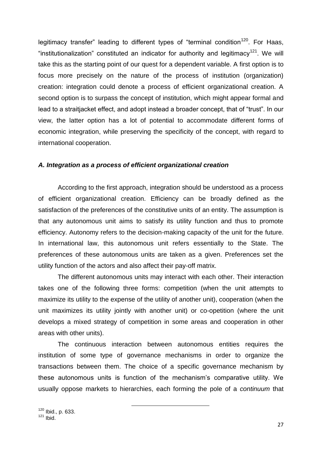legitimacy transfer" leading to different types of "terminal condition<sup>120</sup>. For Haas, "institutionalization" constituted an indicator for authority and legitimacy<sup>121</sup>. We will take this as the starting point of our quest for a dependent variable. A first option is to focus more precisely on the nature of the process of institution (organization) creation: integration could denote a process of efficient organizational creation. A second option is to surpass the concept of institution, which might appear formal and lead to a straitjacket effect, and adopt instead a broader concept, that of "trust". In our view, the latter option has a lot of potential to accommodate different forms of economic integration, while preserving the specificity of the concept, with regard to international cooperation.

#### *A. Integration as a process of efficient organizational creation*

According to the first approach, integration should be understood as a process of efficient organizational creation. Efficiency can be broadly defined as the satisfaction of the preferences of the constitutive units of an entity. The assumption is that any autonomous unit aims to satisfy its utility function and thus to promote efficiency. Autonomy refers to the decision-making capacity of the unit for the future. In international law, this autonomous unit refers essentially to the State. The preferences of these autonomous units are taken as a given. Preferences set the utility function of the actors and also affect their pay-off matrix.

The different autonomous units may interact with each other. Their interaction takes one of the following three forms: competition (when the unit attempts to maximize its utility to the expense of the utility of another unit), cooperation (when the unit maximizes its utility jointly with another unit) or co-opetition (where the unit develops a mixed strategy of competition in some areas and cooperation in other areas with other units).

The continuous interaction between autonomous entities requires the institution of some type of governance mechanisms in order to organize the transactions between them. The choice of a specific governance mechanism by these autonomous units is function of the mechanism's comparative utility. We usually oppose markets to hierarchies, each forming the pole of a *continuum* that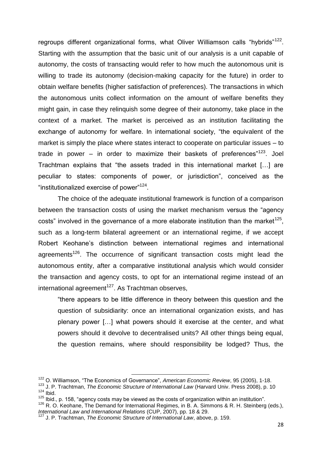regroups different organizational forms, what Oliver Williamson calls "hybrids"<sup>122</sup>. Starting with the assumption that the basic unit of our analysis is a unit capable of autonomy, the costs of transacting would refer to how much the autonomous unit is willing to trade its autonomy (decision-making capacity for the future) in order to obtain welfare benefits (higher satisfaction of preferences). The transactions in which the autonomous units collect information on the amount of welfare benefits they might gain, in case they relinquish some degree of their autonomy, take place in the context of a market. The market is perceived as an institution facilitating the exchange of autonomy for welfare. In international society, "the equivalent of the market is simply the place where states interact to cooperate on particular issues – to trade in power – in order to maximize their baskets of preferences<sup> $123$ </sup>. Joel Trachtman explains that "the assets traded in this international market […] are peculiar to states: components of power, or jurisdiction", conceived as the "institutionalized exercise of power"<sup>124</sup>.

The choice of the adequate institutional framework is function of a comparison between the transaction costs of using the market mechanism versus the "agency costs" involved in the governance of a more elaborate institution than the market<sup>125</sup>, such as a long-term bilateral agreement or an international regime, if we accept Robert Keohane's distinction between international regimes and international agreements<sup>126</sup>. The occurrence of significant transaction costs might lead the autonomous entity, after a comparative institutional analysis which would consider the transaction and agency costs, to opt for an international regime instead of an  $international agreement<sup>127</sup>$ . As Trachtman observes,

"there appears to be little difference in theory between this question and the question of subsidiarity: once an international organization exists, and has plenary power […] what powers should it exercise at the center, and what powers should it devolve to decentralised units? All other things being equal, the question remains, where should responsibility be lodged? Thus, the

<sup>122</sup> O. Williamson, "The Economics of Governance", *American Economic Review*, 95 (2005), 1-18.

<sup>&</sup>lt;sup>123</sup> J. P. Trachtman, *The Economic Structure of International Law* (Harvard Univ. Press 2008), p. 10  $124$  lbid.

 $125$  Ibid., p. 158, "agency costs may be viewed as the costs of organization within an institution".

<sup>&</sup>lt;sup>126</sup> R. O. Keohane, The Demand for International Regimes, in B. A. Simmons & R. H. Steinberg (eds.), *International Law and International Relations* (CUP, 2007), pp. 18 & 29.

<sup>&</sup>lt;sup>7</sup> J. P. Trachtman, *The Economic Structure of International Law*, above, p. 159.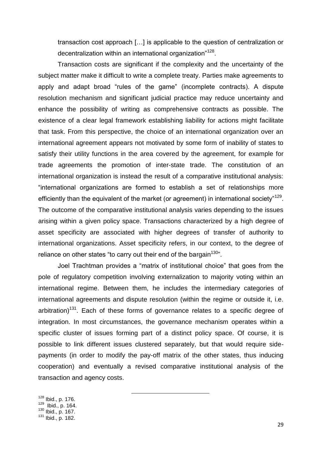transaction cost approach […] is applicable to the question of centralization or decentralization within an international organization"<sup>128</sup>.

Transaction costs are significant if the complexity and the uncertainty of the subject matter make it difficult to write a complete treaty. Parties make agreements to apply and adapt broad "rules of the game" (incomplete contracts). A dispute resolution mechanism and significant judicial practice may reduce uncertainty and enhance the possibility of writing as comprehensive contracts as possible. The existence of a clear legal framework establishing liability for actions might facilitate that task. From this perspective, the choice of an international organization over an international agreement appears not motivated by some form of inability of states to satisfy their utility functions in the area covered by the agreement, for example for trade agreements the promotion of inter-state trade. The constitution of an international organization is instead the result of a comparative institutional analysis: "international organizations are formed to establish a set of relationships more efficiently than the equivalent of the market (or agreement) in international society"<sup>129</sup>. The outcome of the comparative institutional analysis varies depending to the issues arising within a given policy space. Transactions characterized by a high degree of asset specificity are associated with higher degrees of transfer of authority to international organizations. Asset specificity refers, in our context, to the degree of reliance on other states "to carry out their end of the bargain<sup>130</sup>".

Joel Trachtman provides a "matrix of institutional choice" that goes from the pole of regulatory competition involving externalization to majority voting within an international regime. Between them, he includes the intermediary categories of international agreements and dispute resolution (within the regime or outside it, i.e. arbitration)<sup>131</sup>. Each of these forms of governance relates to a specific degree of integration. In most circumstances, the governance mechanism operates within a specific cluster of issues forming part of a distinct policy space. Of course, it is possible to link different issues clustered separately, but that would require sidepayments (in order to modify the pay-off matrix of the other states, thus inducing cooperation) and eventually a revised comparative institutional analysis of the transaction and agency costs.

1

 Ibid., p. 176. Ibid., p. 164. Ibid., p. 167. Ibid., p. 182.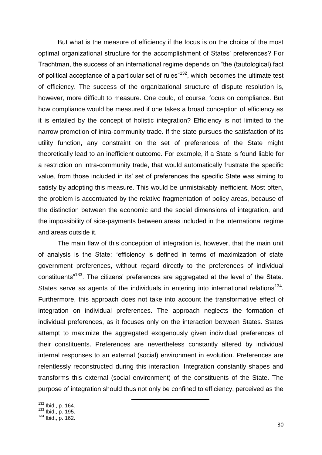But what is the measure of efficiency if the focus is on the choice of the most optimal organizational structure for the accomplishment of States' preferences? For Trachtman, the success of an international regime depends on "the (tautological) fact of political acceptance of a particular set of rules<sup>"132</sup>, which becomes the ultimate test of efficiency. The success of the organizational structure of dispute resolution is, however, more difficult to measure. One could, of course, focus on compliance. But how compliance would be measured if one takes a broad conception of efficiency as it is entailed by the concept of holistic integration? Efficiency is not limited to the narrow promotion of intra-community trade. If the state pursues the satisfaction of its utility function, any constraint on the set of preferences of the State might theoretically lead to an inefficient outcome. For example, if a State is found liable for a restriction on intra-community trade, that would automatically frustrate the specific value, from those included in its' set of preferences the specific State was aiming to satisfy by adopting this measure. This would be unmistakably inefficient. Most often, the problem is accentuated by the relative fragmentation of policy areas, because of the distinction between the economic and the social dimensions of integration, and the impossibility of side-payments between areas included in the international regime and areas outside it.

The main flaw of this conception of integration is, however, that the main unit of analysis is the State: "efficiency is defined in terms of maximization of state government preferences, without regard directly to the preferences of individual constituents<sup>"133</sup>. The citizens' preferences are aggregated at the level of the State. States serve as agents of the individuals in entering into international relations<sup>134</sup>. Furthermore, this approach does not take into account the transformative effect of integration on individual preferences. The approach neglects the formation of individual preferences, as it focuses only on the interaction between States. States attempt to maximize the aggregated exogenously given individual preferences of their constituents. Preferences are nevertheless constantly altered by individual internal responses to an external (social) environment in evolution. Preferences are relentlessly reconstructed during this interaction. Integration constantly shapes and transforms this external (social environment) of the constituents of the State. The purpose of integration should thus not only be confined to efficiency, perceived as the

1

<sup>132</sup> Ibid., p. 164.  $133$  Ibid., p. 195.  $134$  Ibid., p. 162.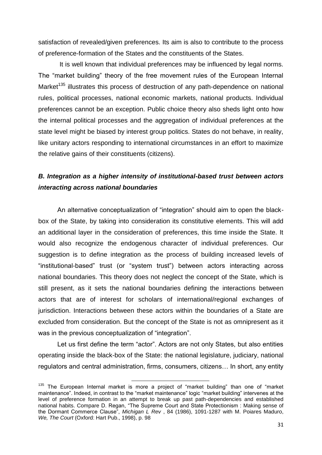satisfaction of revealed/given preferences. Its aim is also to contribute to the process of preference-formation of the States and the constituents of the States.

It is well known that individual preferences may be influenced by legal norms. The "market building" theory of the free movement rules of the European Internal Market<sup>135</sup> illustrates this process of destruction of any path-dependence on national rules, political processes, national economic markets, national products. Individual preferences cannot be an exception. Public choice theory also sheds light onto how the internal political processes and the aggregation of individual preferences at the state level might be biased by interest group politics. States do not behave, in reality, like unitary actors responding to international circumstances in an effort to maximize the relative gains of their constituents (citizens).

## *B. Integration as a higher intensity of institutional-based trust between actors interacting across national boundaries*

An alternative conceptualization of "integration" should aim to open the blackbox of the State, by taking into consideration its constitutive elements. This will add an additional layer in the consideration of preferences, this time inside the State. It would also recognize the endogenous character of individual preferences. Our suggestion is to define integration as the process of building increased levels of "institutional-based" trust (or "system trust") between actors interacting across national boundaries. This theory does not neglect the concept of the State, which is still present, as it sets the national boundaries defining the interactions between actors that are of interest for scholars of international/regional exchanges of jurisdiction. Interactions between these actors within the boundaries of a State are excluded from consideration. But the concept of the State is not as omnipresent as it was in the previous conceptualization of "integration".

Let us first define the term "actor". Actors are not only States, but also entities operating inside the black-box of the State: the national legislature, judiciary, national regulators and central administration, firms, consumers, citizens… In short, any entity

 $135$  The European Internal market is more a project of "market building" than one of "market maintenance". Indeed, in contrast to the "market maintenance" logic "market building" intervenes at the level of preference formation in an attempt to break up past path-dependencies and established national habits. Compare D. Regan, "The Supreme Court and State Protectionism : Making sense of the Dormant Commerce Clause", *Michigan L Rev* , 84 (1986), 1091-1287 with M. Poiares Maduro, *We, The Court* (Oxford: Hart Pub., 1998), p. 98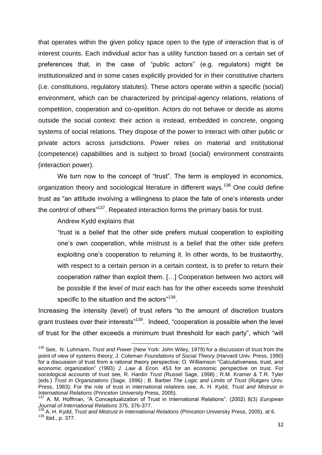that operates within the given policy space open to the type of interaction that is of interest counts. Each individual actor has a utility function based on a certain set of preferences that, in the case of "public actors" (e.g. regulators) might be institutionalized and in some cases explicitly provided for in their constitutive charters (i.e. constitutions, regulatory statutes). These actors operate within a specific (social) environment, which can be characterized by principal-agency relations, relations of competition, cooperation and co-opetition. Actors do not behave or decide as atoms outside the social context: their action is instead, embedded in concrete, ongoing systems of social relations. They dispose of the power to interact with other public or private actors across jurisdictions. Power relies on material and institutional (competence) capabilities and is subject to broad (social) environment constraints (interaction power).

We turn now to the concept of "trust". The term is employed in economics, organization theory and sociological literature in different ways.<sup>136</sup> One could define trust as "an attitude involving a willingness to place the fate of one's interests under the control of others"<sup>137</sup>. Repeated interaction forms the primary basis for trust.

Andrew Kydd explains that

"trust is a belief that the other side prefers mutual cooperation to exploiting one's own cooperation, while mistrust is a belief that the other side prefers exploiting one's cooperation to returning it. In other words, to be trustworthy, with respect to a certain person in a certain context, is to prefer to return their cooperation rather than exploit them. […] Cooperation between two actors will be possible if the *level of trust* each has for the other exceeds some threshold specific to the situation and the actors"<sup>138</sup>.

Increasing the intensity (level) of trust refers "to the amount of discretion trustors grant trustees over their interests<sup>"139</sup>. Indeed, "cooperation is possible when the level of trust for the other exceeds a minimum trust threshold for each party", which "will

<sup>136</sup> See, N. Luhmann, *Trust and Power* (New York: John Wiley, 1979) for a discussion of trust from the point of view of systems theory; J. Coleman *Foundations of Social Theory* (Harvard Univ. Press, 1990) for a discussion of trust from a rational theory perspective; O. Williamson "Calculativeness, trust, and economic organization" (1993) *J. Law & Econ.* 453 for an economic perspective on trust. For sociological accounts of trust see, R. Hardin *Trust (*Russel Sage, 1998) ; R.M. Kramer & T.R. Tyler (eds.) *Trust in Organizations* (Sage, 1996) ; B. Barber *The Logic and Limits of Trust* (Rutgers Univ. Press, 1983); For the role of trust in international relations see, A. H. Kydd, *Trust and Mistrust in International Relations* (Princeton University Press, 2005).

<sup>137</sup> A. M. Hoffman, "A Conceptualization of Trust in International Relations", (2002) 8(3) *European Journal of International Relations* 375, 376-377.

<sup>138</sup> A. H. Kydd, *Trust and Mistrust in International Relations* (Princeton University Press, 2005), at 6. <sup>139</sup> Ibid., p. 377.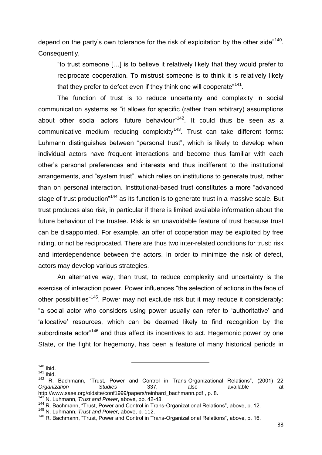depend on the party's own tolerance for the risk of exploitation by the other side"<sup>140</sup>. Consequently,

"to trust someone […] is to believe it relatively likely that they would prefer to reciprocate cooperation. To mistrust someone is to think it is relatively likely that they prefer to defect even if they think one will cooperate" $^{141}$ .

The function of trust is to reduce uncertainty and complexity in social communication systems as "it allows for specific (rather than arbitrary) assumptions about other social actors' future behaviour" $142$ . It could thus be seen as a communicative medium reducing complexity<sup>143</sup>. Trust can take different forms: Luhmann distinguishes between "personal trust", which is likely to develop when individual actors have frequent interactions and become thus familiar with each other's personal preferences and interests and thus indifferent to the institutional arrangements, and "system trust", which relies on institutions to generate trust, rather than on personal interaction. Institutional-based trust constitutes a more "advanced stage of trust production<sup>"144</sup> as its function is to generate trust in a massive scale. But trust produces also risk, in particular if there is limited available information about the future behaviour of the trustee. Risk is an unavoidable feature of trust because trust can be disappointed. For example, an offer of cooperation may be exploited by free riding, or not be reciprocated. There are thus two inter-related conditions for trust: risk and interdependence between the actors. In order to minimize the risk of defect, actors may develop various strategies.

An alternative way, than trust, to reduce complexity and uncertainty is the exercise of interaction power. Power influences "the selection of actions in the face of other possibilities<sup>"145</sup>. Power may not exclude risk but it may reduce it considerably: "a social actor who considers using power usually can refer to 'authoritative' and 'allocative' resources, which can be deemed likely to find recognition by the subordinate actor<sup>"146</sup> and thus affect its incentives to act. Hegemonic power by one State, or the fight for hegemony, has been a feature of many historical periods in

 $140$  Ibid.

 $141$  Ibid.

 $142$  R. Bachmann, "Trust, Power and Control in Trans-Organizational Relations", (2001) 22 *Organization Studies* 337, also available at http://www.sase.org/oldsite/conf1999/papers/reinhard\_bachmann.pdf , p. 8.

<sup>143</sup> N. Luhmann, *Trust and Power*, above, pp. 42-43.

<sup>144</sup> R. Bachmann, "Trust, Power and Control in Trans-Organizational Relations", above, p. 12.

<sup>145</sup> N. Luhmann, *Trust and Power*, above, p. 112.

<sup>&</sup>lt;sup>146</sup> R. Bachmann, "Trust, Power and Control in Trans-Organizational Relations", above, p. 16.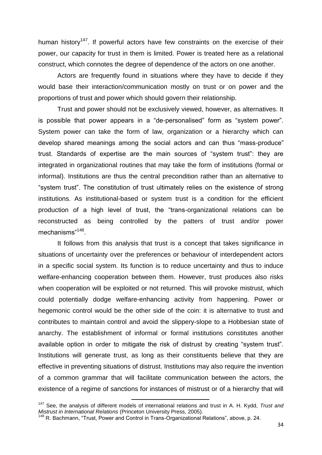human history<sup>147</sup>. If powerful actors have few constraints on the exercise of their power, our capacity for trust in them is limited. Power is treated here as a relational construct, which connotes the degree of dependence of the actors on one another.

Actors are frequently found in situations where they have to decide if they would base their interaction/communication mostly on trust or on power and the proportions of trust and power which should govern their relationship.

Trust and power should not be exclusively viewed, however, as alternatives. It is possible that power appears in a "de-personalised" form as "system power". System power can take the form of law, organization or a hierarchy which can develop shared meanings among the social actors and can thus "mass-produce" trust. Standards of expertise are the main sources of "system trust": they are integrated in organizational routines that may take the form of institutions (formal or informal). Institutions are thus the central precondition rather than an alternative to "system trust". The constitution of trust ultimately relies on the existence of strong institutions. As institutional-based or system trust is a condition for the efficient production of a high level of trust, the "trans-organizational relations can be reconstructed as being controlled by the patters of trust and/or power mechanisms"<sup>148</sup>.

It follows from this analysis that trust is a concept that takes significance in situations of uncertainty over the preferences or behaviour of interdependent actors in a specific social system. Its function is to reduce uncertainty and thus to induce welfare-enhancing cooperation between them. However, trust produces also risks when cooperation will be exploited or not returned. This will provoke mistrust, which could potentially dodge welfare-enhancing activity from happening. Power or hegemonic control would be the other side of the coin: it is alternative to trust and contributes to maintain control and avoid the slippery-slope to a Hobbesian state of anarchy. The establishment of informal or formal institutions constitutes another available option in order to mitigate the risk of distrust by creating "system trust". Institutions will generate trust, as long as their constituents believe that they are effective in preventing situations of distrust. Institutions may also require the invention of a common grammar that will facilitate communication between the actors, the existence of a regime of sanctions for instances of mistrust or of a hierarchy that will

<sup>147</sup> See, the analysis of different models of international relations and trust in A. H. Kydd, *Trust and Mistrust in International Relations* (Princeton University Press, 2005).

<sup>&</sup>lt;sup>148</sup> R. Bachmann, "Trust, Power and Control in Trans-Organizational Relations", above, p. 24.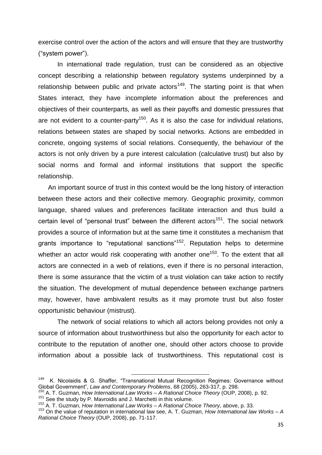exercise control over the action of the actors and will ensure that they are trustworthy ("system power").

In international trade regulation, trust can be considered as an objective concept describing a relationship between regulatory systems underpinned by a relationship between public and private  $\arccos^{149}$ . The starting point is that when States interact, they have incomplete information about the preferences and objectives of their counterparts, as well as their payoffs and domestic pressures that are not evident to a counter-party<sup>150</sup>. As it is also the case for individual relations, relations between states are shaped by social networks. Actions are embedded in concrete, ongoing systems of social relations. Consequently, the behaviour of the actors is not only driven by a pure interest calculation (calculative trust) but also by social norms and formal and informal institutions that support the specific relationship.

An important source of trust in this context would be the long history of interaction between these actors and their collective memory. Geographic proximity, common language, shared values and preferences facilitate interaction and thus build a certain level of "personal trust" between the different actors<sup>151</sup>. The social network provides a source of information but at the same time it constitutes a mechanism that grants importance to "reputational sanctions"<sup>152</sup>. Reputation helps to determine whether an actor would risk cooperating with another one<sup>153</sup>. To the extent that all actors are connected in a web of relations, even if there is no personal interaction, there is some assurance that the victim of a trust violation can take action to rectify the situation. The development of mutual dependence between exchange partners may, however, have ambivalent results as it may promote trust but also foster opportunistic behaviour (mistrust).

The network of social relations to which all actors belong provides not only a source of information about trustworthiness but also the opportunity for each actor to contribute to the reputation of another one, should other actors choose to provide information about a possible lack of trustworthiness. This reputational cost is

<sup>&</sup>lt;sup>149</sup> K. Nicolaidis & G. Shaffer, "Transnational Mutual Recognition Regimes: Governance without Global Government", *Law and Contemporary Problems*, 68 (2005), 263-317, p. 298.

<sup>150</sup> A. T. Guzman, *How International Law Works – A Rational Choice Theory* (OUP, 2008), p. 92. <sup>151</sup> See the study by P. Mavroidis and J. Marchetti in this volume.

<sup>152</sup> A. T. Guzman, *How International Law Works – A Rational Choice Theory*, above, p. 33.

<sup>153</sup> On the value of reputation in international law see, A. T. Guzman, *How International law Works – A Rational Choice Theory* (OUP, 2008), pp. 71-117.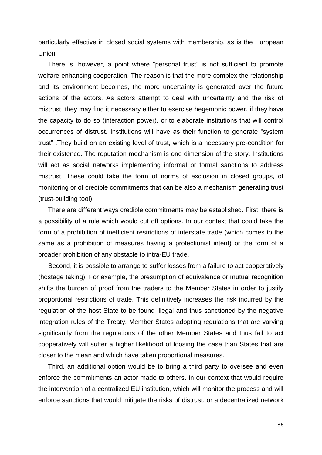particularly effective in closed social systems with membership, as is the European Union.

There is, however, a point where "personal trust" is not sufficient to promote welfare-enhancing cooperation. The reason is that the more complex the relationship and its environment becomes, the more uncertainty is generated over the future actions of the actors. As actors attempt to deal with uncertainty and the risk of mistrust, they may find it necessary either to exercise hegemonic power, if they have the capacity to do so (interaction power), or to elaborate institutions that will control occurrences of distrust. Institutions will have as their function to generate "system trust" .They build on an existing level of trust, which is a necessary pre-condition for their existence. The reputation mechanism is one dimension of the story. Institutions will act as social networks implementing informal or formal sanctions to address mistrust. These could take the form of norms of exclusion in closed groups, of monitoring or of credible commitments that can be also a mechanism generating trust (trust-building tool).

There are different ways credible commitments may be established. First, there is a possibility of a rule which would cut off options. In our context that could take the form of a prohibition of inefficient restrictions of interstate trade (which comes to the same as a prohibition of measures having a protectionist intent) or the form of a broader prohibition of any obstacle to intra-EU trade.

Second, it is possible to arrange to suffer losses from a failure to act cooperatively (hostage taking). For example, the presumption of equivalence or mutual recognition shifts the burden of proof from the traders to the Member States in order to justify proportional restrictions of trade. This definitively increases the risk incurred by the regulation of the host State to be found illegal and thus sanctioned by the negative integration rules of the Treaty. Member States adopting regulations that are varying significantly from the regulations of the other Member States and thus fail to act cooperatively will suffer a higher likelihood of loosing the case than States that are closer to the mean and which have taken proportional measures.

Third, an additional option would be to bring a third party to oversee and even enforce the commitments an actor made to others. In our context that would require the intervention of a centralized EU institution, which will monitor the process and will enforce sanctions that would mitigate the risks of distrust, or a decentralized network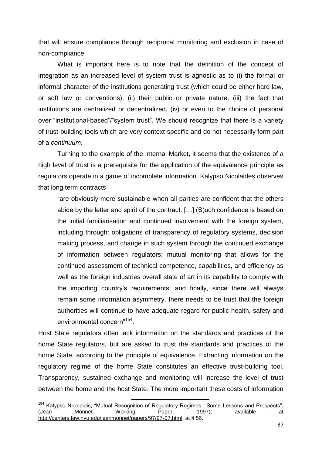that will ensure compliance through reciprocal monitoring and exclusion in case of non-compliance.

What is important here is to note that the definition of the concept of integration as an increased level of system trust is agnostic as to (i) the formal or informal character of the institutions generating trust (which could be either hard law, or soft law or conventions); (ii) their public or private nature, (iii) the fact that institutions are centralized or decentralized, (iv) or even to the choice of personal over "institutional-based"/"system trust". We should recognize that there is a variety of trust-building tools which are very context-specific and do not necessarily form part of a *continuum*.

Turning to the example of the Internal Market, it seems that the existence of a high level of trust is a prerequisite for the application of the equivalence principle as regulators operate in a game of incomplete information. Kalypso Nicolaides observes that long term contracts

"are obviously more sustainable when all parties are confident that the others abide by the letter and spirit of the contract. […] (S)uch confidence is based on the initial familiarisation and continued involvement with the foreign system, including through: obligations of transparency of regulatory systems, decision making process, and change in such system through the continued exchange of information between regulators; mutual monitoring that allows for the continued assessment of technical competence, capabilities, and efficiency as well as the foreign industries overall state of art in its capability to comply with the importing country's requirements; and finally, since there will always remain some information asymmetry, there needs to be trust that the foreign authorities will continue to have adequate regard for public health, safety and environmental concern"<sup>154</sup>.

Host State regulators often lack information on the standards and practices of the home State regulators, but are asked to trust the standards and practices of the home State, according to the principle of equivalence. Extracting information on the regulatory regime of the home State constitutes an effective trust-building tool. Transparency, sustained exchange and monitoring will increase the level of trust between the home and the host State. The more important these costs of information

<sup>154</sup> Kalypso Nicolaidis, "Mutual Recognition of Regulatory Regimes : Some Lessons and Prospects",<br>(Jean Monnet Working Paper. 1997). available at (Jean Monnet Working Paper, 1997), available at [http://centers.law.nyu.edu/jeanmonnet/papers/97/97-07.html,](http://centers.law.nyu.edu/jeanmonnet/papers/97/97-07.html) at § 56.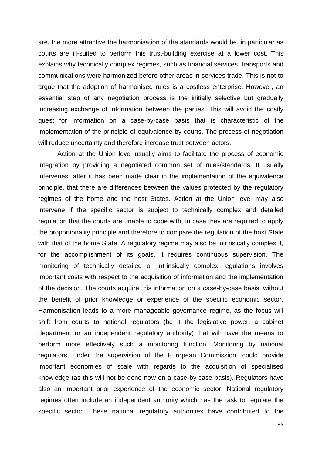are, the more attractive the harmonisation of the standards would be, in particular as courts are ill-suited to perform this trust-building exercise at a lower cost. This explains why technically complex regimes, such as financial services, transports and communications were harmonized before other areas in services trade. This is not to argue that the adoption of harmonised rules is a costless enterprise. However, an essential step of any negotiation process is the initially selective but gradually increasing exchange of information between the parties. This will avoid the costly quest for information on a case-by-case basis that is characteristic of the implementation of the principle of equivalence by courts. The process of negotiation will reduce uncertainty and therefore increase trust between actors.

Action at the Union level usually aims to facilitate the process of economic integration by providing a negotiated common set of rules/standards. It usually intervenes, after it has been made clear in the implementation of the equivalence principle, that there are differences between the values protected by the regulatory regimes of the home and the host States. Action at the Union level may also intervene if the specific sector is subject to technically complex and detailed regulation that the courts are unable to cope with, in case they are required to apply the proportionality principle and therefore to compare the regulation of the host State with that of the home State. A regulatory regime may also be intrinsically complex if, for the accomplishment of its goals, it requires continuous supervision. The monitoring of technically detailed or intrinsically complex regulations involves important costs with respect to the acquisition of information and the implementation of the decision. The courts acquire this information on a case-by-case basis, without the benefit of prior knowledge or experience of the specific economic sector. Harmonisation leads to a more manageable governance regime, as the focus will shift from courts to national regulators (be it the legislative power, a cabinet department or an independent regulatory authority) that will have the means to perform more effectively such a monitoring function. Monitoring by national regulators, under the supervision of the European Commission, could provide important economies of scale with regards to the acquisition of specialised knowledge (as this will not be done now on a case-by-case basis). Regulators have also an important prior experience of the economic sector. National regulatory regimes often include an independent authority which has the task to regulate the specific sector. These national regulatory authorities have contributed to the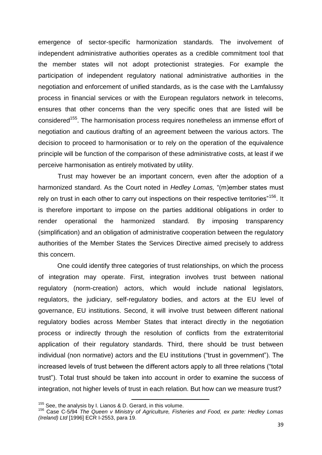emergence of sector-specific harmonization standards. The involvement of independent administrative authorities operates as a credible commitment tool that the member states will not adopt protectionist strategies. For example the participation of independent regulatory national administrative authorities in the negotiation and enforcement of unified standards, as is the case with the Lamfalussy process in financial services or with the European regulators network in telecoms, ensures that other concerns than the very specific ones that are listed will be considered<sup>155</sup>. The harmonisation process requires nonetheless an immense effort of negotiation and cautious drafting of an agreement between the various actors. The decision to proceed to harmonisation or to rely on the operation of the equivalence principle will be function of the comparison of these administrative costs, at least if we perceive harmonisation as entirely motivated by utility.

Trust may however be an important concern, even after the adoption of a harmonized standard. As the Court noted in *Hedley Lomas,* "(m)ember states must rely on trust in each other to carry out inspections on their respective territories"<sup>156</sup>. It is therefore important to impose on the parties additional obligations in order to render operational the harmonized standard. By imposing transparency (simplification) and an obligation of administrative cooperation between the regulatory authorities of the Member States the Services Directive aimed precisely to address this concern.

One could identify three categories of trust relationships, on which the process of integration may operate. First, integration involves trust between national regulatory (norm-creation) actors, which would include national legislators, regulators, the judiciary, self-regulatory bodies, and actors at the EU level of governance, EU institutions. Second, it will involve trust between different national regulatory bodies across Member States that interact directly in the negotiation process or indirectly through the resolution of conflicts from the extraterritorial application of their regulatory standards. Third, there should be trust between individual (non normative) actors and the EU institutions ("trust in government"). The increased levels of trust between the different actors apply to all three relations ("total trust"). Total trust should be taken into account in order to examine the success of integration, not higher levels of trust in each relation. But how can we measure trust?

 $155$  See, the analysis by I. Lianos & D. Gerard, in this volume.

<sup>156</sup> Case C-5/94 *The Queen v Ministry of Agriculture, Fisheries and Food, ex parte: Hedley Lomas (Ireland) Ltd* [1996] ECR I-2553, para 19.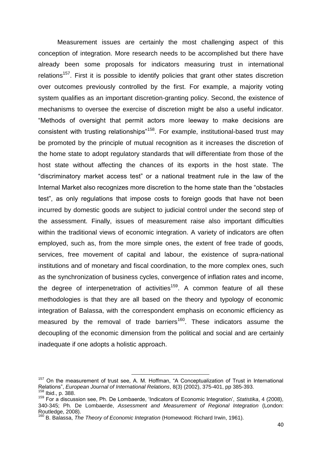Measurement issues are certainly the most challenging aspect of this conception of integration. More research needs to be accomplished but there have already been some proposals for indicators measuring trust in international relations<sup>157</sup>. First it is possible to identify policies that grant other states discretion over outcomes previously controlled by the first. For example, a majority voting system qualifies as an important discretion-granting policy. Second, the existence of mechanisms to oversee the exercise of discretion might be also a useful indicator. "Methods of oversight that permit actors more leeway to make decisions are consistent with trusting relationships"<sup>158</sup>. For example, institutional-based trust may be promoted by the principle of mutual recognition as it increases the discretion of the home state to adopt regulatory standards that will differentiate from those of the host state without affecting the chances of its exports in the host state. The "discriminatory market access test" or a national treatment rule in the law of the Internal Market also recognizes more discretion to the home state than the "obstacles test", as only regulations that impose costs to foreign goods that have not been incurred by domestic goods are subject to judicial control under the second step of the assessment. Finally, issues of measurement raise also important difficulties within the traditional views of economic integration. A variety of indicators are often employed, such as, from the more simple ones, the extent of free trade of goods, services, free movement of capital and labour, the existence of supra-national institutions and of monetary and fiscal coordination, to the more complex ones, such as the synchronization of business cycles, convergence of inflation rates and income, the degree of interpenetration of activities<sup>159</sup>. A common feature of all these methodologies is that they are all based on the theory and typology of economic integration of Balassa, with the correspondent emphasis on economic efficiency as measured by the removal of trade barriers<sup>160</sup>. These indicators assume the decoupling of the economic dimension from the political and social and are certainly inadequate if one adopts a holistic approach.

<sup>&</sup>lt;sup>157</sup> On the measurement of trust see, A. M. Hoffman, "A Conceptualization of Trust in International Relations", *European Journal of International Relations*, 8(3) (2002), 375-401, pp 385-393. <sup>158</sup> Ibid., p. 388.

<sup>159</sup> For a discussion see, Ph. De Lombaerde, 'Indicators of Economic Integration', *Statistika*, 4 (2008), 340-345; Ph. De Lombaerde, *Assessment and Measurement of Regional Integration* (London: Routledge, 2008).

<sup>160</sup> B. Balassa, *The Theory of Economic Integration* (Homewood: Richard Irwin, 1961).